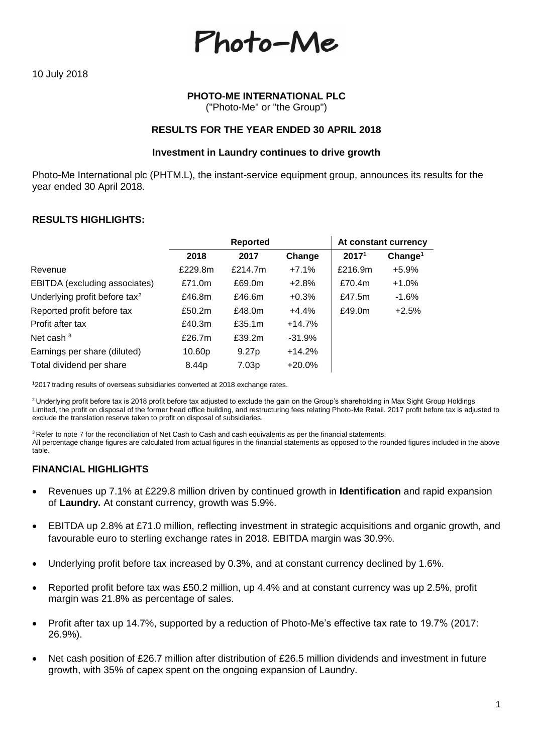Photo-Me

# **PHOTO-ME INTERNATIONAL PLC**

("Photo-Me" or "the Group")

#### **RESULTS FOR THE YEAR ENDED 30 APRIL 2018**

#### **Investment in Laundry continues to drive growth**

Photo-Me International plc (PHTM.L), the instant-service equipment group, announces its results for the year ended 30 April 2018.

#### **RESULTS HIGHLIGHTS:**

|         | <b>Reported</b>   |          |                   | At constant currency |
|---------|-------------------|----------|-------------------|----------------------|
| 2018    | 2017              | Change   | 2017 <sup>1</sup> | Change <sup>1</sup>  |
| £229.8m | £214.7m           | $+7.1%$  | £216.9m           | $+5.9%$              |
| £71.0m  | £69.0m            | $+2.8%$  | £70.4m            | $+1.0%$              |
| £46.8m  | £46.6m            | $+0.3%$  | £47.5m            | $-1.6%$              |
| £50.2m  | £48.0m            | $+4.4%$  | £49.0m            | $+2.5%$              |
| £40.3m  | £35.1m            | $+14.7%$ |                   |                      |
| £26.7m  | £39.2m            | $-31.9%$ |                   |                      |
| 10.60p  | 9.27 <sub>p</sub> | $+14.2%$ |                   |                      |
| 8.44p   | 7.03p             | $+20.0%$ |                   |                      |
|         |                   |          |                   |                      |

**<sup>1</sup>**2017 trading results of overseas subsidiaries converted at 2018 exchange rates.

<sup>2</sup> Underlying profit before tax is 2018 profit before tax adjusted to exclude the gain on the Group's shareholding in Max Sight Group Holdings Limited, the profit on disposal of the former head office building, and restructuring fees relating Photo-Me Retail. 2017 profit before tax is adjusted to exclude the translation reserve taken to profit on disposal of subsidiaries.

<sup>3</sup> Refer to note 7 for the reconciliation of Net Cash to Cash and cash equivalents as per the financial statements. All percentage change figures are calculated from actual figures in the financial statements as opposed to the rounded figures included in the above table.

### **FINANCIAL HIGHLIGHTS**

- Revenues up 7.1% at £229.8 million driven by continued growth in **Identification** and rapid expansion of **Laundry.** At constant currency, growth was 5.9%.
- EBITDA up 2.8% at £71.0 million, reflecting investment in strategic acquisitions and organic growth, and favourable euro to sterling exchange rates in 2018. EBITDA margin was 30.9%.
- Underlying profit before tax increased by 0.3%, and at constant currency declined by 1.6%.
- Reported profit before tax was £50.2 million, up 4.4% and at constant currency was up 2.5%, profit margin was 21.8% as percentage of sales.
- Profit after tax up 14.7%, supported by a reduction of Photo-Me's effective tax rate to 19.7% (2017: 26.9%).
- Net cash position of £26.7 million after distribution of £26.5 million dividends and investment in future growth, with 35% of capex spent on the ongoing expansion of Laundry.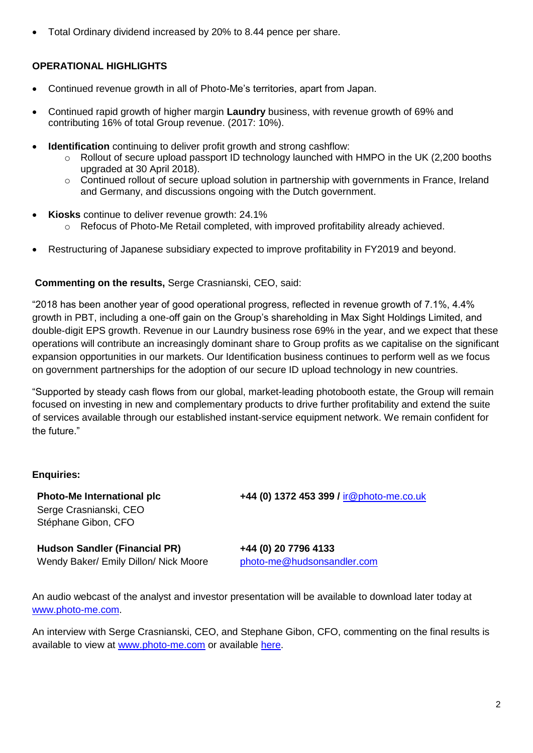• Total Ordinary dividend increased by 20% to 8.44 pence per share.

## **OPERATIONAL HIGHLIGHTS**

- Continued revenue growth in all of Photo-Me's territories, apart from Japan.
- Continued rapid growth of higher margin **Laundry** business, with revenue growth of 69% and contributing 16% of total Group revenue. (2017: 10%).
- **Identification** continuing to deliver profit growth and strong cashflow:
	- $\circ$  Rollout of secure upload passport ID technology launched with HMPO in the UK (2,200 booths upgraded at 30 April 2018).
	- o Continued rollout of secure upload solution in partnership with governments in France, Ireland and Germany, and discussions ongoing with the Dutch government.
- **Kiosks** continue to deliver revenue growth: 24.1%
	- o Refocus of Photo-Me Retail completed, with improved profitability already achieved.
- Restructuring of Japanese subsidiary expected to improve profitability in FY2019 and beyond.

#### **Commenting on the results,** Serge Crasnianski, CEO, said:

"2018 has been another year of good operational progress, reflected in revenue growth of 7.1%, 4.4% growth in PBT, including a one-off gain on the Group's shareholding in Max Sight Holdings Limited, and double-digit EPS growth. Revenue in our Laundry business rose 69% in the year, and we expect that these operations will contribute an increasingly dominant share to Group profits as we capitalise on the significant expansion opportunities in our markets. Our Identification business continues to perform well as we focus on government partnerships for the adoption of our secure ID upload technology in new countries.

"Supported by steady cash flows from our global, market-leading photobooth estate, the Group will remain focused on investing in new and complementary products to drive further profitability and extend the suite of services available through our established instant-service equipment network. We remain confident for the future."

#### **Enquiries:**

Serge Crasnianski, CEO Stéphane Gibon, CFO

**Photo-Me International plc +44 (0) 1372 453 399 /** [ir@photo-me.co.uk](mailto:ir@photo-me.co.uk)

**Hudson Sandler (Financial PR) +44 (0) 20 7796 4133**  Wendy Baker/ Emily Dillon/ Nick Moore [photo-me@hudsonsandler.com](mailto:photo-me@hudsonsandler.com)

An audio webcast of the analyst and investor presentation will be available to download later today at [www.photo-me.com.](http://www.photo-me.com/)

An interview with Serge Crasnianski, CEO, and Stephane Gibon, CFO, commenting on the final results is available to view at [www.photo-me.com](http://www.photo-me.com/) or available [here.](https://www.brrmedia.co.uk/broadcasts-embed/5b3f5b25b648f6302b14cf6d/?event&popup=true)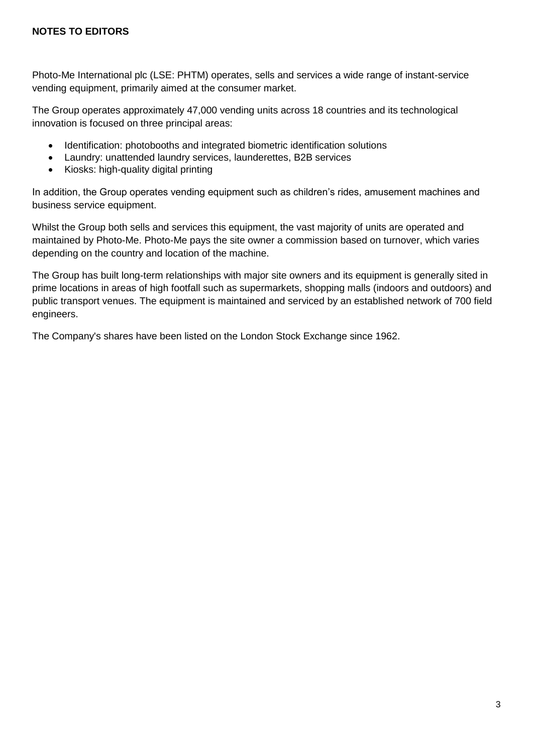Photo-Me International plc (LSE: PHTM) operates, sells and services a wide range of instant-service vending equipment, primarily aimed at the consumer market.

The Group operates approximately 47,000 vending units across 18 countries and its technological innovation is focused on three principal areas:

- Identification: photobooths and integrated biometric identification solutions
- Laundry: unattended laundry services, launderettes, B2B services
- Kiosks: high-quality digital printing

In addition, the Group operates vending equipment such as children's rides, amusement machines and business service equipment.

Whilst the Group both sells and services this equipment, the vast majority of units are operated and maintained by Photo-Me. Photo-Me pays the site owner a commission based on turnover, which varies depending on the country and location of the machine.

The Group has built long-term relationships with major site owners and its equipment is generally sited in prime locations in areas of high footfall such as supermarkets, shopping malls (indoors and outdoors) and public transport venues. The equipment is maintained and serviced by an established network of 700 field engineers.

The Company's shares have been listed on the London Stock Exchange since 1962.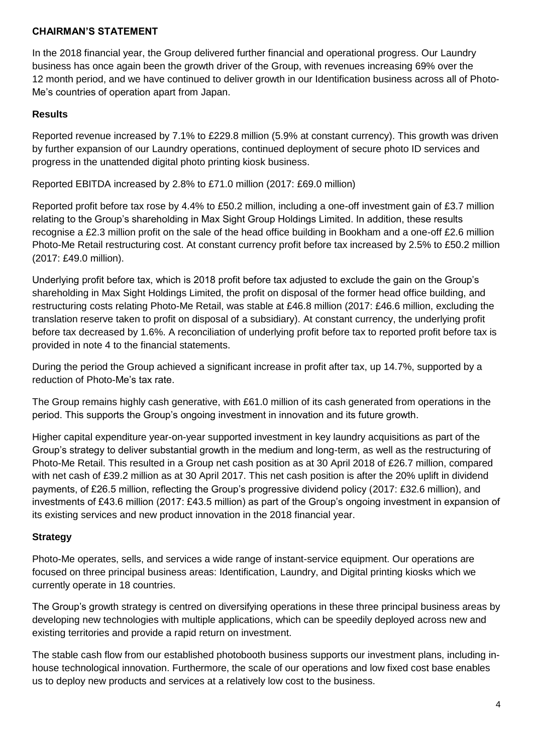### **CHAIRMAN'S STATEMENT**

In the 2018 financial year, the Group delivered further financial and operational progress. Our Laundry business has once again been the growth driver of the Group, with revenues increasing 69% over the 12 month period, and we have continued to deliver growth in our Identification business across all of Photo-Me's countries of operation apart from Japan.

## **Results**

Reported revenue increased by 7.1% to £229.8 million (5.9% at constant currency). This growth was driven by further expansion of our Laundry operations, continued deployment of secure photo ID services and progress in the unattended digital photo printing kiosk business.

Reported EBITDA increased by 2.8% to £71.0 million (2017: £69.0 million)

Reported profit before tax rose by 4.4% to £50.2 million, including a one-off investment gain of £3.7 million relating to the Group's shareholding in Max Sight Group Holdings Limited. In addition, these results recognise a £2.3 million profit on the sale of the head office building in Bookham and a one-off £2.6 million Photo-Me Retail restructuring cost. At constant currency profit before tax increased by 2.5% to £50.2 million (2017: £49.0 million).

Underlying profit before tax, which is 2018 profit before tax adjusted to exclude the gain on the Group's shareholding in Max Sight Holdings Limited, the profit on disposal of the former head office building, and restructuring costs relating Photo-Me Retail, was stable at £46.8 million (2017: £46.6 million, excluding the translation reserve taken to profit on disposal of a subsidiary). At constant currency, the underlying profit before tax decreased by 1.6%. A reconciliation of underlying profit before tax to reported profit before tax is provided in note 4 to the financial statements.

During the period the Group achieved a significant increase in profit after tax, up 14.7%, supported by a reduction of Photo-Me's tax rate.

The Group remains highly cash generative, with £61.0 million of its cash generated from operations in the period. This supports the Group's ongoing investment in innovation and its future growth.

Higher capital expenditure year-on-year supported investment in key laundry acquisitions as part of the Group's strategy to deliver substantial growth in the medium and long-term, as well as the restructuring of Photo-Me Retail. This resulted in a Group net cash position as at 30 April 2018 of £26.7 million, compared with net cash of £39.2 million as at 30 April 2017. This net cash position is after the 20% uplift in dividend payments, of £26.5 million, reflecting the Group's progressive dividend policy (2017: £32.6 million), and investments of £43.6 million (2017: £43.5 million) as part of the Group's ongoing investment in expansion of its existing services and new product innovation in the 2018 financial year.

# **Strategy**

Photo-Me operates, sells, and services a wide range of instant-service equipment. Our operations are focused on three principal business areas: Identification, Laundry, and Digital printing kiosks which we currently operate in 18 countries.

The Group's growth strategy is centred on diversifying operations in these three principal business areas by developing new technologies with multiple applications, which can be speedily deployed across new and existing territories and provide a rapid return on investment.

The stable cash flow from our established photobooth business supports our investment plans, including inhouse technological innovation. Furthermore, the scale of our operations and low fixed cost base enables us to deploy new products and services at a relatively low cost to the business.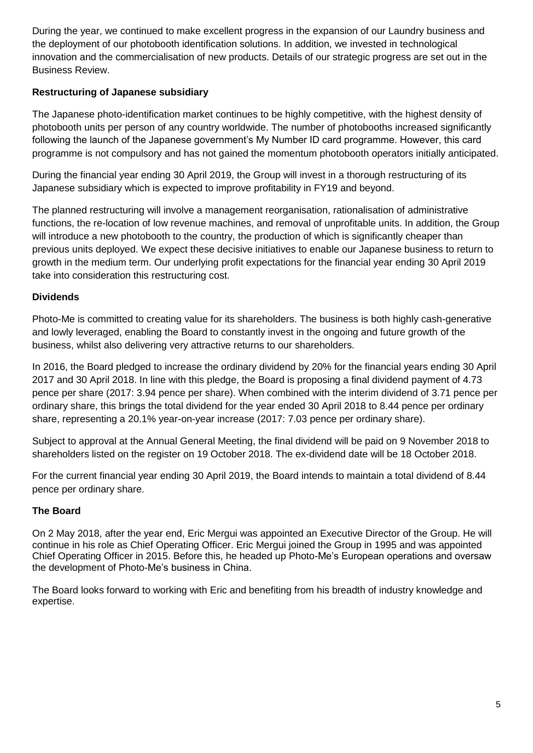During the year, we continued to make excellent progress in the expansion of our Laundry business and the deployment of our photobooth identification solutions. In addition, we invested in technological innovation and the commercialisation of new products. Details of our strategic progress are set out in the Business Review.

# **Restructuring of Japanese subsidiary**

The Japanese photo-identification market continues to be highly competitive, with the highest density of photobooth units per person of any country worldwide. The number of photobooths increased significantly following the launch of the Japanese government's My Number ID card programme. However, this card programme is not compulsory and has not gained the momentum photobooth operators initially anticipated.

During the financial year ending 30 April 2019, the Group will invest in a thorough restructuring of its Japanese subsidiary which is expected to improve profitability in FY19 and beyond.

The planned restructuring will involve a management reorganisation, rationalisation of administrative functions, the re-location of low revenue machines, and removal of unprofitable units. In addition, the Group will introduce a new photobooth to the country, the production of which is significantly cheaper than previous units deployed. We expect these decisive initiatives to enable our Japanese business to return to growth in the medium term. Our underlying profit expectations for the financial year ending 30 April 2019 take into consideration this restructuring cost.

# **Dividends**

Photo-Me is committed to creating value for its shareholders. The business is both highly cash-generative and lowly leveraged, enabling the Board to constantly invest in the ongoing and future growth of the business, whilst also delivering very attractive returns to our shareholders.

In 2016, the Board pledged to increase the ordinary dividend by 20% for the financial years ending 30 April 2017 and 30 April 2018. In line with this pledge, the Board is proposing a final dividend payment of 4.73 pence per share (2017: 3.94 pence per share). When combined with the interim dividend of 3.71 pence per ordinary share, this brings the total dividend for the year ended 30 April 2018 to 8.44 pence per ordinary share, representing a 20.1% year-on-year increase (2017: 7.03 pence per ordinary share).

Subject to approval at the Annual General Meeting, the final dividend will be paid on 9 November 2018 to shareholders listed on the register on 19 October 2018. The ex-dividend date will be 18 October 2018.

For the current financial year ending 30 April 2019, the Board intends to maintain a total dividend of 8.44 pence per ordinary share.

# **The Board**

On 2 May 2018, after the year end, Eric Mergui was appointed an Executive Director of the Group. He will continue in his role as Chief Operating Officer. Eric Mergui joined the Group in 1995 and was appointed Chief Operating Officer in 2015. Before this, he headed up Photo-Me's European operations and oversaw the development of Photo-Me's business in China.

The Board looks forward to working with Eric and benefiting from his breadth of industry knowledge and expertise.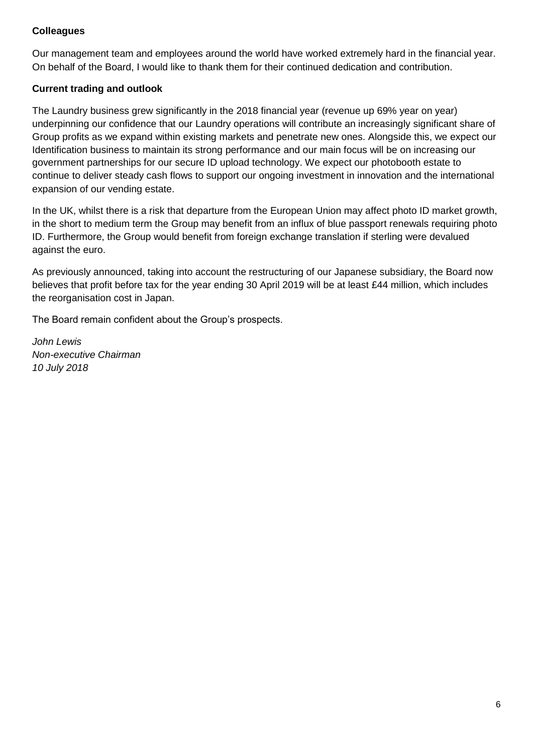# **Colleagues**

Our management team and employees around the world have worked extremely hard in the financial year. On behalf of the Board, I would like to thank them for their continued dedication and contribution.

# **Current trading and outlook**

The Laundry business grew significantly in the 2018 financial year (revenue up 69% year on year) underpinning our confidence that our Laundry operations will contribute an increasingly significant share of Group profits as we expand within existing markets and penetrate new ones. Alongside this, we expect our Identification business to maintain its strong performance and our main focus will be on increasing our government partnerships for our secure ID upload technology. We expect our photobooth estate to continue to deliver steady cash flows to support our ongoing investment in innovation and the international expansion of our vending estate.

In the UK, whilst there is a risk that departure from the European Union may affect photo ID market growth, in the short to medium term the Group may benefit from an influx of blue passport renewals requiring photo ID. Furthermore, the Group would benefit from foreign exchange translation if sterling were devalued against the euro.

As previously announced, taking into account the restructuring of our Japanese subsidiary, the Board now believes that profit before tax for the year ending 30 April 2019 will be at least £44 million, which includes the reorganisation cost in Japan.

The Board remain confident about the Group's prospects.

*John Lewis Non-executive Chairman 10 July 2018*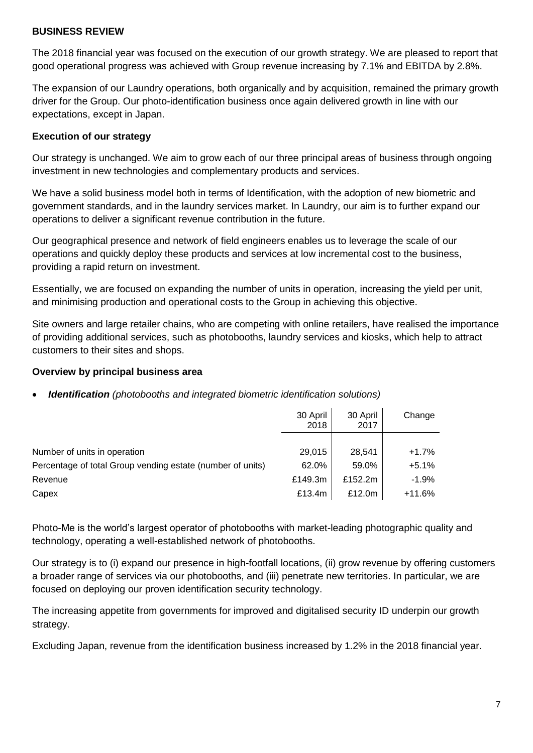#### **BUSINESS REVIEW**

The 2018 financial year was focused on the execution of our growth strategy. We are pleased to report that good operational progress was achieved with Group revenue increasing by 7.1% and EBITDA by 2.8%.

The expansion of our Laundry operations, both organically and by acquisition, remained the primary growth driver for the Group. Our photo-identification business once again delivered growth in line with our expectations, except in Japan.

### **Execution of our strategy**

Our strategy is unchanged. We aim to grow each of our three principal areas of business through ongoing investment in new technologies and complementary products and services.

We have a solid business model both in terms of Identification, with the adoption of new biometric and government standards, and in the laundry services market. In Laundry, our aim is to further expand our operations to deliver a significant revenue contribution in the future.

Our geographical presence and network of field engineers enables us to leverage the scale of our operations and quickly deploy these products and services at low incremental cost to the business, providing a rapid return on investment.

Essentially, we are focused on expanding the number of units in operation, increasing the yield per unit, and minimising production and operational costs to the Group in achieving this objective.

Site owners and large retailer chains, who are competing with online retailers, have realised the importance of providing additional services, such as photobooths, laundry services and kiosks, which help to attract customers to their sites and shops.

#### **Overview by principal business area**

• *Identification (photobooths and integrated biometric identification solutions)*

|                                                            | 30 April<br>2018 | 30 April<br>2017 | Change   |
|------------------------------------------------------------|------------------|------------------|----------|
|                                                            |                  |                  |          |
| Number of units in operation                               | 29,015           | 28,541           | $+1.7%$  |
| Percentage of total Group vending estate (number of units) | 62.0%            | 59.0%            | $+5.1%$  |
| Revenue                                                    | £149.3m          | £152.2m          | $-1.9%$  |
| Capex                                                      | £13.4m           | £12.0m           | $+11.6%$ |

Photo-Me is the world's largest operator of photobooths with market-leading photographic quality and technology, operating a well-established network of photobooths.

Our strategy is to (i) expand our presence in high-footfall locations, (ii) grow revenue by offering customers a broader range of services via our photobooths, and (iii) penetrate new territories. In particular, we are focused on deploying our proven identification security technology.

The increasing appetite from governments for improved and digitalised security ID underpin our growth strategy.

Excluding Japan, revenue from the identification business increased by 1.2% in the 2018 financial year.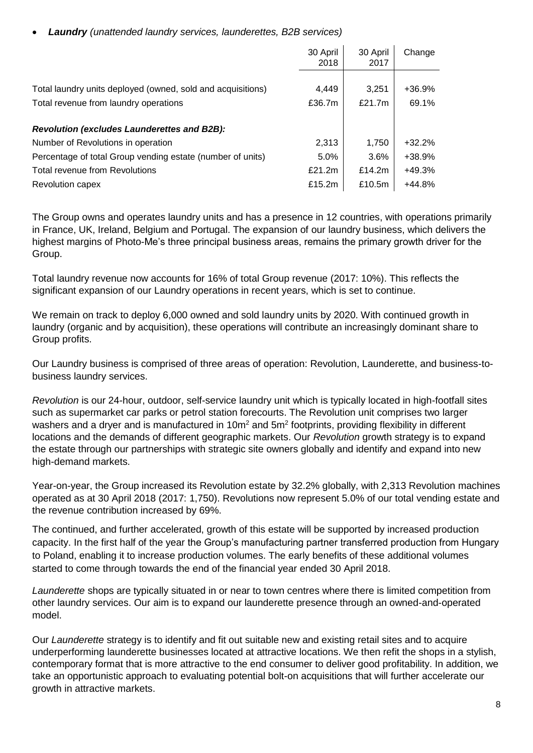• *Laundry (unattended laundry services, launderettes, B2B services)*

|                                                             | 30 April<br>2018 | 30 April<br>2017 | Change   |
|-------------------------------------------------------------|------------------|------------------|----------|
|                                                             |                  |                  |          |
| Total laundry units deployed (owned, sold and acquisitions) | 4,449            | 3,251            | $+36.9%$ |
| Total revenue from laundry operations                       | £36.7m           | £21.7 $m$        | 69.1%    |
| <b>Revolution (excludes Launderettes and B2B):</b>          |                  |                  |          |
| Number of Revolutions in operation                          | 2,313            | 1,750            | $+32.2%$ |
| Percentage of total Group vending estate (number of units)  | 5.0%             | 3.6%             | +38.9%   |
| Total revenue from Revolutions                              | £21.2m           | £14.2 $m$        | $+49.3%$ |
| Revolution capex                                            | £15.2m           | £10.5 $m$        | $+44.8%$ |

The Group owns and operates laundry units and has a presence in 12 countries, with operations primarily in France, UK, Ireland, Belgium and Portugal. The expansion of our laundry business, which delivers the highest margins of Photo-Me's three principal business areas, remains the primary growth driver for the Group.

Total laundry revenue now accounts for 16% of total Group revenue (2017: 10%). This reflects the significant expansion of our Laundry operations in recent years, which is set to continue.

We remain on track to deploy 6,000 owned and sold laundry units by 2020. With continued growth in laundry (organic and by acquisition), these operations will contribute an increasingly dominant share to Group profits.

Our Laundry business is comprised of three areas of operation: Revolution, Launderette, and business-tobusiness laundry services.

*Revolution* is our 24-hour, outdoor, self-service laundry unit which is typically located in high-footfall sites such as supermarket car parks or petrol station forecourts. The Revolution unit comprises two larger washers and a dryer and is manufactured in 10m<sup>2</sup> and 5m<sup>2</sup> footprints, providing flexibility in different locations and the demands of different geographic markets. Our *Revolution* growth strategy is to expand the estate through our partnerships with strategic site owners globally and identify and expand into new high-demand markets.

Year-on-year, the Group increased its Revolution estate by 32.2% globally, with 2,313 Revolution machines operated as at 30 April 2018 (2017: 1,750). Revolutions now represent 5.0% of our total vending estate and the revenue contribution increased by 69%.

The continued, and further accelerated, growth of this estate will be supported by increased production capacity. In the first half of the year the Group's manufacturing partner transferred production from Hungary to Poland, enabling it to increase production volumes. The early benefits of these additional volumes started to come through towards the end of the financial year ended 30 April 2018.

*Launderette* shops are typically situated in or near to town centres where there is limited competition from other laundry services. Our aim is to expand our launderette presence through an owned-and-operated model.

Our *Launderette* strategy is to identify and fit out suitable new and existing retail sites and to acquire underperforming launderette businesses located at attractive locations. We then refit the shops in a stylish, contemporary format that is more attractive to the end consumer to deliver good profitability. In addition, we take an opportunistic approach to evaluating potential bolt-on acquisitions that will further accelerate our growth in attractive markets.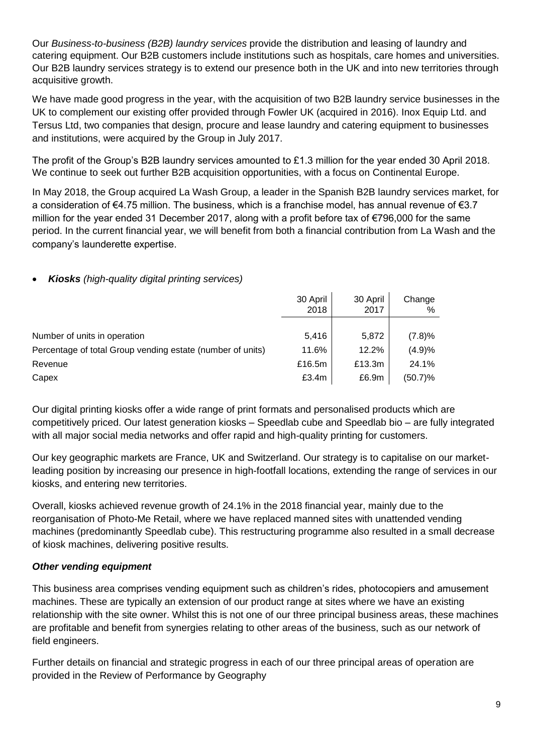Our *Business-to-business (B2B) laundry services* provide the distribution and leasing of laundry and catering equipment. Our B2B customers include institutions such as hospitals, care homes and universities. Our B2B laundry services strategy is to extend our presence both in the UK and into new territories through acquisitive growth.

We have made good progress in the year, with the acquisition of two B2B laundry service businesses in the UK to complement our existing offer provided through Fowler UK (acquired in 2016). Inox Equip Ltd. and Tersus Ltd, two companies that design, procure and lease laundry and catering equipment to businesses and institutions, were acquired by the Group in July 2017.

The profit of the Group's B2B laundry services amounted to £1.3 million for the year ended 30 April 2018. We continue to seek out further B2B acquisition opportunities, with a focus on Continental Europe.

In May 2018, the Group acquired La Wash Group, a leader in the Spanish B2B laundry services market, for a consideration of €4.75 million. The business, which is a franchise model, has annual revenue of €3.7 million for the year ended 31 December 2017, along with a profit before tax of €796,000 for the same period. In the current financial year, we will benefit from both a financial contribution from La Wash and the company's launderette expertise.

### • *Kiosks (high-quality digital printing services)*

|                                                            | 30 April<br>2018 | 30 April<br>2017 | Change<br>% |
|------------------------------------------------------------|------------------|------------------|-------------|
|                                                            |                  |                  |             |
| Number of units in operation                               | 5,416            | 5,872            | (7.8)%      |
| Percentage of total Group vending estate (number of units) | 11.6%            | 12.2%            | (4.9)%      |
| Revenue                                                    | £16.5m           | £13.3m           | 24.1%       |
| Capex                                                      | £3.4m            | £6.9m            | $(50.7)\%$  |

Our digital printing kiosks offer a wide range of print formats and personalised products which are competitively priced. Our latest generation kiosks – Speedlab cube and Speedlab bio – are fully integrated with all major social media networks and offer rapid and high-quality printing for customers.

Our key geographic markets are France, UK and Switzerland. Our strategy is to capitalise on our marketleading position by increasing our presence in high-footfall locations, extending the range of services in our kiosks, and entering new territories.

Overall, kiosks achieved revenue growth of 24.1% in the 2018 financial year, mainly due to the reorganisation of Photo-Me Retail, where we have replaced manned sites with unattended vending machines (predominantly Speedlab cube). This restructuring programme also resulted in a small decrease of kiosk machines, delivering positive results.

### *Other vending equipment*

This business area comprises vending equipment such as children's rides, photocopiers and amusement machines. These are typically an extension of our product range at sites where we have an existing relationship with the site owner. Whilst this is not one of our three principal business areas, these machines are profitable and benefit from synergies relating to other areas of the business, such as our network of field engineers.

Further details on financial and strategic progress in each of our three principal areas of operation are provided in the Review of Performance by Geography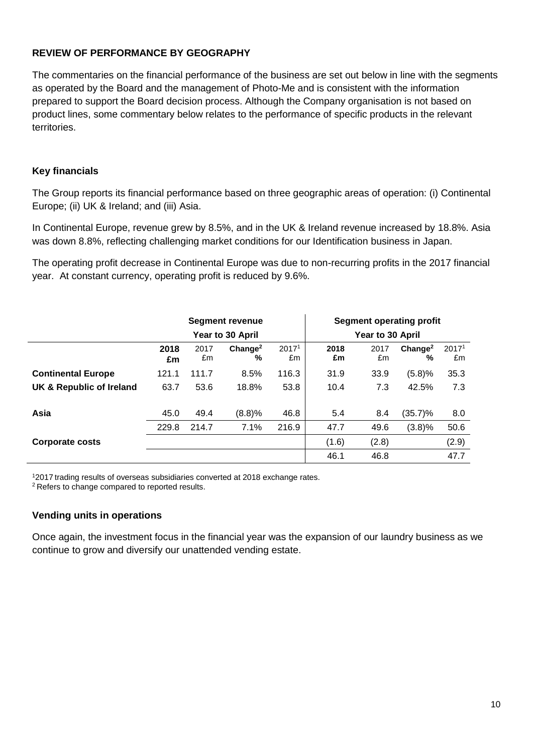### **REVIEW OF PERFORMANCE BY GEOGRAPHY**

The commentaries on the financial performance of the business are set out below in line with the segments as operated by the Board and the management of Photo-Me and is consistent with the information prepared to support the Board decision process. Although the Company organisation is not based on product lines, some commentary below relates to the performance of specific products in the relevant territories.

#### **Key financials**

The Group reports its financial performance based on three geographic areas of operation: (i) Continental Europe; (ii) UK & Ireland; and (iii) Asia.

In Continental Europe, revenue grew by 8.5%, and in the UK & Ireland revenue increased by 18.8%. Asia was down 8.8%, reflecting challenging market conditions for our Identification business in Japan.

The operating profit decrease in Continental Europe was due to non-recurring profits in the 2017 financial year. At constant currency, operating profit is reduced by 9.6%.

|                           | <b>Segment revenue</b> |            |                          |                         |            | <b>Segment operating profit</b> |                          |                         |
|---------------------------|------------------------|------------|--------------------------|-------------------------|------------|---------------------------------|--------------------------|-------------------------|
|                           |                        |            | Year to 30 April         |                         |            | Year to 30 April                |                          |                         |
|                           | 2018<br>£m             | 2017<br>£m | Change <sup>2</sup><br>% | 2017 <sup>1</sup><br>£m | 2018<br>£m | 2017<br>£m                      | Change <sup>2</sup><br>% | 2017 <sup>1</sup><br>£m |
| <b>Continental Europe</b> | 121.1                  | 111.7      | 8.5%                     | 116.3                   | 31.9       | 33.9                            | (5.8)%                   | 35.3                    |
| UK & Republic of Ireland  | 63.7                   | 53.6       | 18.8%                    | 53.8                    | 10.4       | 7.3                             | 42.5%                    | 7.3                     |
| Asia                      | 45.0                   | 49.4       | (8.8)%                   | 46.8                    | 5.4        | 8.4                             | (35.7)%                  | 8.0                     |
|                           | 229.8                  | 214.7      | 7.1%                     | 216.9                   | 47.7       | 49.6                            | (3.8)%                   | 50.6                    |
| <b>Corporate costs</b>    |                        |            |                          |                         | (1.6)      | (2.8)                           |                          | (2.9)                   |
|                           |                        |            |                          |                         | 46.1       | 46.8                            |                          | 47.7                    |

<sup>1</sup>2017 trading results of overseas subsidiaries converted at 2018 exchange rates.

<sup>2</sup> Refers to change compared to reported results.

#### **Vending units in operations**

Once again, the investment focus in the financial year was the expansion of our laundry business as we continue to grow and diversify our unattended vending estate.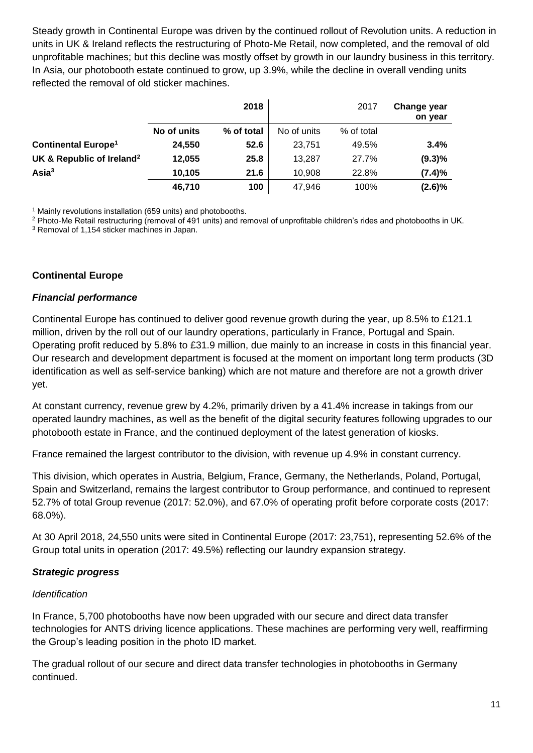Steady growth in Continental Europe was driven by the continued rollout of Revolution units. A reduction in units in UK & Ireland reflects the restructuring of Photo-Me Retail, now completed, and the removal of old unprofitable machines; but this decline was mostly offset by growth in our laundry business in this territory. In Asia, our photobooth estate continued to grow, up 3.9%, while the decline in overall vending units reflected the removal of old sticker machines.

|                                       |             | 2018       |             | 2017       | Change year<br>on year |
|---------------------------------------|-------------|------------|-------------|------------|------------------------|
|                                       | No of units | % of total | No of units | % of total |                        |
| <b>Continental Europe<sup>1</sup></b> | 24.550      | 52.6       | 23.751      | 49.5%      | 3.4%                   |
| UK & Republic of Ireland <sup>2</sup> | 12,055      | 25.8       | 13,287      | 27.7%      | $(9.3)\%$              |
| $\textsf{Asia}^3$                     | 10,105      | 21.6       | 10,908      | 22.8%      | (7.4)%                 |
|                                       | 46.710      | 100        | 47,946      | 100%       | $(2.6)\%$              |

<sup>1</sup> Mainly revolutions installation (659 units) and photobooths.

<sup>2</sup> Photo-Me Retail restructuring (removal of 491 units) and removal of unprofitable children's rides and photobooths in UK.

<sup>3</sup> Removal of 1,154 sticker machines in Japan.

#### **Continental Europe**

#### *Financial performance*

Continental Europe has continued to deliver good revenue growth during the year, up 8.5% to £121.1 million, driven by the roll out of our laundry operations, particularly in France, Portugal and Spain. Operating profit reduced by 5.8% to £31.9 million, due mainly to an increase in costs in this financial year. Our research and development department is focused at the moment on important long term products (3D identification as well as self-service banking) which are not mature and therefore are not a growth driver yet.

At constant currency, revenue grew by 4.2%, primarily driven by a 41.4% increase in takings from our operated laundry machines, as well as the benefit of the digital security features following upgrades to our photobooth estate in France, and the continued deployment of the latest generation of kiosks.

France remained the largest contributor to the division, with revenue up 4.9% in constant currency.

This division, which operates in Austria, Belgium, France, Germany, the Netherlands, Poland, Portugal, Spain and Switzerland, remains the largest contributor to Group performance, and continued to represent 52.7% of total Group revenue (2017: 52.0%), and 67.0% of operating profit before corporate costs (2017: 68.0%).

At 30 April 2018, 24,550 units were sited in Continental Europe (2017: 23,751), representing 52.6% of the Group total units in operation (2017: 49.5%) reflecting our laundry expansion strategy.

#### *Strategic progress*

#### *Identification*

In France, 5,700 photobooths have now been upgraded with our secure and direct data transfer technologies for ANTS driving licence applications. These machines are performing very well, reaffirming the Group's leading position in the photo ID market.

The gradual rollout of our secure and direct data transfer technologies in photobooths in Germany continued.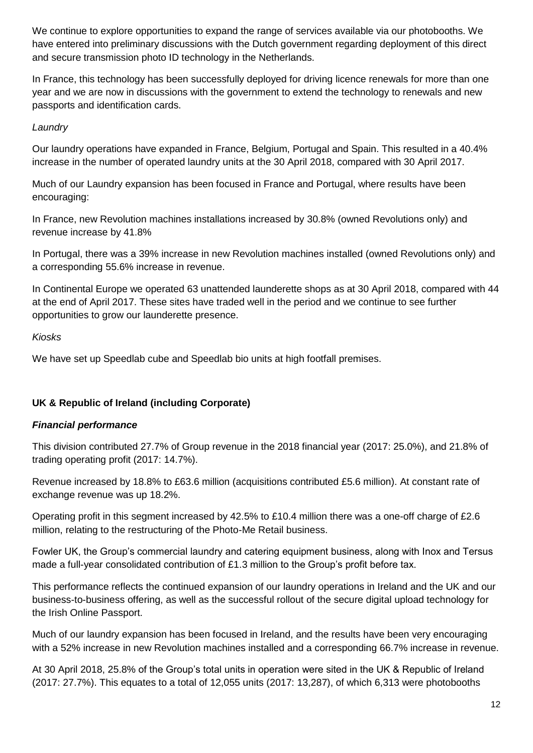We continue to explore opportunities to expand the range of services available via our photobooths. We have entered into preliminary discussions with the Dutch government regarding deployment of this direct and secure transmission photo ID technology in the Netherlands.

In France, this technology has been successfully deployed for driving licence renewals for more than one year and we are now in discussions with the government to extend the technology to renewals and new passports and identification cards.

### *Laundry*

Our laundry operations have expanded in France, Belgium, Portugal and Spain. This resulted in a 40.4% increase in the number of operated laundry units at the 30 April 2018, compared with 30 April 2017.

Much of our Laundry expansion has been focused in France and Portugal, where results have been encouraging:

In France, new Revolution machines installations increased by 30.8% (owned Revolutions only) and revenue increase by 41.8%

In Portugal, there was a 39% increase in new Revolution machines installed (owned Revolutions only) and a corresponding 55.6% increase in revenue.

In Continental Europe we operated 63 unattended launderette shops as at 30 April 2018, compared with 44 at the end of April 2017. These sites have traded well in the period and we continue to see further opportunities to grow our launderette presence.

### *Kiosks*

We have set up Speedlab cube and Speedlab bio units at high footfall premises.

### **UK & Republic of Ireland (including Corporate)**

### *Financial performance*

This division contributed 27.7% of Group revenue in the 2018 financial year (2017: 25.0%), and 21.8% of trading operating profit (2017: 14.7%).

Revenue increased by 18.8% to £63.6 million (acquisitions contributed £5.6 million). At constant rate of exchange revenue was up 18.2%.

Operating profit in this segment increased by 42.5% to £10.4 million there was a one-off charge of £2.6 million, relating to the restructuring of the Photo-Me Retail business.

Fowler UK, the Group's commercial laundry and catering equipment business, along with Inox and Tersus made a full-year consolidated contribution of £1.3 million to the Group's profit before tax.

This performance reflects the continued expansion of our laundry operations in Ireland and the UK and our business-to-business offering, as well as the successful rollout of the secure digital upload technology for the Irish Online Passport.

Much of our laundry expansion has been focused in Ireland, and the results have been very encouraging with a 52% increase in new Revolution machines installed and a corresponding 66.7% increase in revenue.

At 30 April 2018, 25.8% of the Group's total units in operation were sited in the UK & Republic of Ireland (2017: 27.7%). This equates to a total of 12,055 units (2017: 13,287), of which 6,313 were photobooths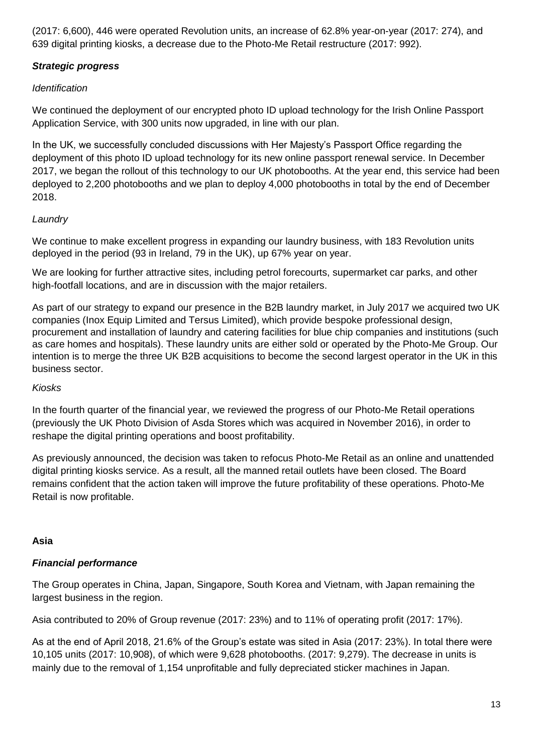(2017: 6,600), 446 were operated Revolution units, an increase of 62.8% year-on-year (2017: 274), and 639 digital printing kiosks, a decrease due to the Photo-Me Retail restructure (2017: 992).

# *Strategic progress*

# *Identification*

We continued the deployment of our encrypted photo ID upload technology for the Irish Online Passport Application Service, with 300 units now upgraded, in line with our plan.

In the UK, we successfully concluded discussions with Her Majesty's Passport Office regarding the deployment of this photo ID upload technology for its new online passport renewal service. In December 2017, we began the rollout of this technology to our UK photobooths. At the year end, this service had been deployed to 2,200 photobooths and we plan to deploy 4,000 photobooths in total by the end of December 2018.

# *Laundry*

We continue to make excellent progress in expanding our laundry business, with 183 Revolution units deployed in the period (93 in Ireland, 79 in the UK), up 67% year on year.

We are looking for further attractive sites, including petrol forecourts, supermarket car parks, and other high-footfall locations, and are in discussion with the major retailers.

As part of our strategy to expand our presence in the B2B laundry market, in July 2017 we acquired two UK companies (Inox Equip Limited and Tersus Limited), which provide bespoke professional design, procurement and installation of laundry and catering facilities for blue chip companies and institutions (such as care homes and hospitals). These laundry units are either sold or operated by the Photo-Me Group. Our intention is to merge the three UK B2B acquisitions to become the second largest operator in the UK in this business sector.

# *Kiosks*

In the fourth quarter of the financial year, we reviewed the progress of our Photo-Me Retail operations (previously the UK Photo Division of Asda Stores which was acquired in November 2016), in order to reshape the digital printing operations and boost profitability.

As previously announced, the decision was taken to refocus Photo-Me Retail as an online and unattended digital printing kiosks service. As a result, all the manned retail outlets have been closed. The Board remains confident that the action taken will improve the future profitability of these operations. Photo-Me Retail is now profitable.

# **Asia**

# *Financial performance*

The Group operates in China, Japan, Singapore, South Korea and Vietnam, with Japan remaining the largest business in the region.

Asia contributed to 20% of Group revenue (2017: 23%) and to 11% of operating profit (2017: 17%).

As at the end of April 2018, 21.6% of the Group's estate was sited in Asia (2017: 23%). In total there were 10,105 units (2017: 10,908), of which were 9,628 photobooths. (2017: 9,279). The decrease in units is mainly due to the removal of 1,154 unprofitable and fully depreciated sticker machines in Japan.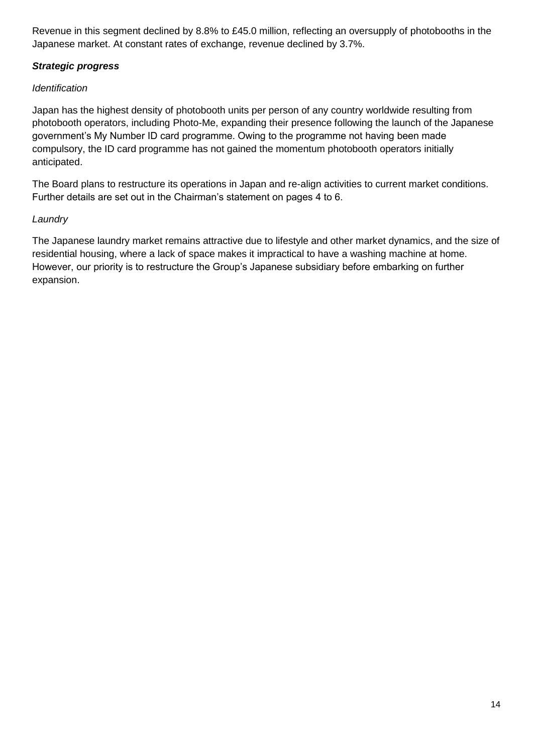Revenue in this segment declined by 8.8% to £45.0 million, reflecting an oversupply of photobooths in the Japanese market. At constant rates of exchange, revenue declined by 3.7%.

# *Strategic progress*

# *Identification*

Japan has the highest density of photobooth units per person of any country worldwide resulting from photobooth operators, including Photo-Me, expanding their presence following the launch of the Japanese government's My Number ID card programme. Owing to the programme not having been made compulsory, the ID card programme has not gained the momentum photobooth operators initially anticipated.

The Board plans to restructure its operations in Japan and re-align activities to current market conditions. Further details are set out in the Chairman's statement on pages 4 to 6.

## *Laundry*

The Japanese laundry market remains attractive due to lifestyle and other market dynamics, and the size of residential housing, where a lack of space makes it impractical to have a washing machine at home. However, our priority is to restructure the Group's Japanese subsidiary before embarking on further expansion.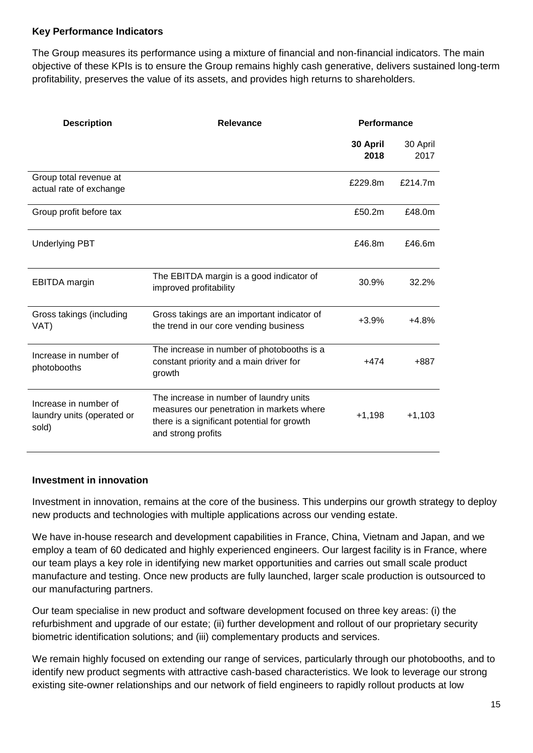#### **Key Performance Indicators**

The Group measures its performance using a mixture of financial and non-financial indicators. The main objective of these KPIs is to ensure the Group remains highly cash generative, delivers sustained long-term profitability, preserves the value of its assets, and provides high returns to shareholders.

| <b>Description</b>                                           | Relevance                                                                                                                                                 | <b>Performance</b> |                  |
|--------------------------------------------------------------|-----------------------------------------------------------------------------------------------------------------------------------------------------------|--------------------|------------------|
|                                                              |                                                                                                                                                           | 30 April<br>2018   | 30 April<br>2017 |
| Group total revenue at<br>actual rate of exchange            |                                                                                                                                                           | £229.8m            | £214.7m          |
| Group profit before tax                                      |                                                                                                                                                           | £50.2m             | £48.0m           |
| <b>Underlying PBT</b>                                        |                                                                                                                                                           | £46.8m             | £46.6m           |
| <b>EBITDA</b> margin                                         | The EBITDA margin is a good indicator of<br>improved profitability                                                                                        | 30.9%              | 32.2%            |
| Gross takings (including<br>VAT)                             | Gross takings are an important indicator of<br>the trend in our core vending business                                                                     | $+3.9%$            | $+4.8%$          |
| Increase in number of<br>photobooths                         | The increase in number of photobooths is a<br>constant priority and a main driver for<br>growth                                                           | $+474$             | +887             |
| Increase in number of<br>laundry units (operated or<br>sold) | The increase in number of laundry units<br>measures our penetration in markets where<br>there is a significant potential for growth<br>and strong profits | $+1,198$           | $+1,103$         |

#### **Investment in innovation**

Investment in innovation, remains at the core of the business. This underpins our growth strategy to deploy new products and technologies with multiple applications across our vending estate.

We have in-house research and development capabilities in France, China, Vietnam and Japan, and we employ a team of 60 dedicated and highly experienced engineers. Our largest facility is in France, where our team plays a key role in identifying new market opportunities and carries out small scale product manufacture and testing. Once new products are fully launched, larger scale production is outsourced to our manufacturing partners.

Our team specialise in new product and software development focused on three key areas: (i) the refurbishment and upgrade of our estate; (ii) further development and rollout of our proprietary security biometric identification solutions; and (iii) complementary products and services.

We remain highly focused on extending our range of services, particularly through our photobooths, and to identify new product segments with attractive cash-based characteristics. We look to leverage our strong existing site-owner relationships and our network of field engineers to rapidly rollout products at low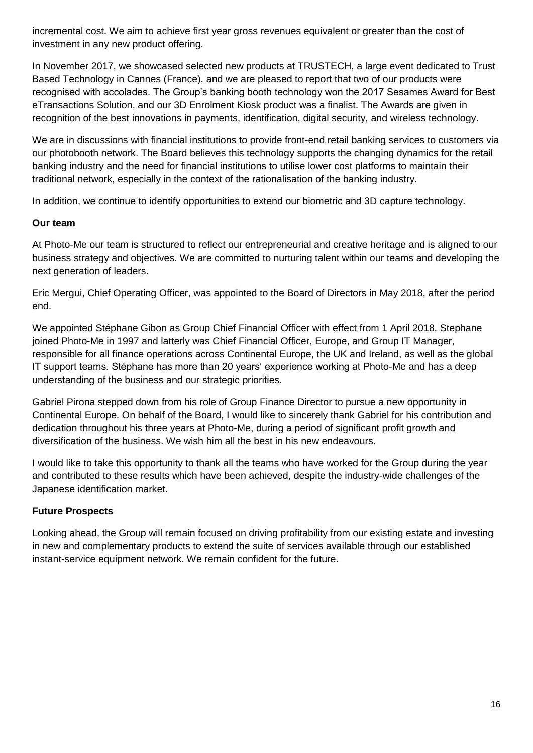incremental cost. We aim to achieve first year gross revenues equivalent or greater than the cost of investment in any new product offering.

In November 2017, we showcased selected new products at TRUSTECH, a large event dedicated to Trust Based Technology in Cannes (France), and we are pleased to report that two of our products were recognised with accolades. The Group's banking booth technology won the 2017 Sesames Award for Best eTransactions Solution, and our 3D Enrolment Kiosk product was a finalist. The Awards are given in recognition of the best innovations in payments, identification, digital security, and wireless technology.

We are in discussions with financial institutions to provide front-end retail banking services to customers via our photobooth network. The Board believes this technology supports the changing dynamics for the retail banking industry and the need for financial institutions to utilise lower cost platforms to maintain their traditional network, especially in the context of the rationalisation of the banking industry.

In addition, we continue to identify opportunities to extend our biometric and 3D capture technology.

#### **Our team**

At Photo-Me our team is structured to reflect our entrepreneurial and creative heritage and is aligned to our business strategy and objectives. We are committed to nurturing talent within our teams and developing the next generation of leaders.

Eric Mergui, Chief Operating Officer, was appointed to the Board of Directors in May 2018, after the period end.

We appointed Stéphane Gibon as Group Chief Financial Officer with effect from 1 April 2018. Stephane joined Photo-Me in 1997 and latterly was Chief Financial Officer, Europe, and Group IT Manager, responsible for all finance operations across Continental Europe, the UK and Ireland, as well as the global IT support teams. Stéphane has more than 20 years' experience working at Photo-Me and has a deep understanding of the business and our strategic priorities.

Gabriel Pirona stepped down from his role of Group Finance Director to pursue a new opportunity in Continental Europe. On behalf of the Board, I would like to sincerely thank Gabriel for his contribution and dedication throughout his three years at Photo-Me, during a period of significant profit growth and diversification of the business. We wish him all the best in his new endeavours.

I would like to take this opportunity to thank all the teams who have worked for the Group during the year and contributed to these results which have been achieved, despite the industry-wide challenges of the Japanese identification market.

### **Future Prospects**

Looking ahead, the Group will remain focused on driving profitability from our existing estate and investing in new and complementary products to extend the suite of services available through our established instant-service equipment network. We remain confident for the future.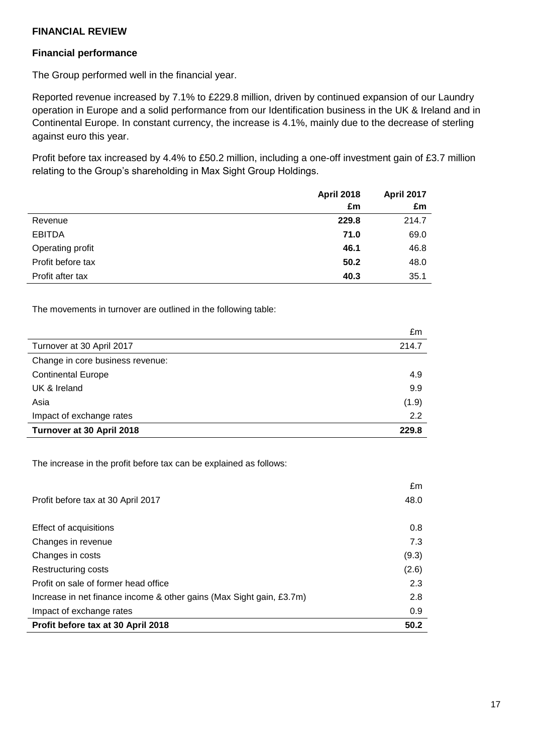#### **FINANCIAL REVIEW**

#### **Financial performance**

The Group performed well in the financial year.

Reported revenue increased by 7.1% to £229.8 million, driven by continued expansion of our Laundry operation in Europe and a solid performance from our Identification business in the UK & Ireland and in Continental Europe. In constant currency, the increase is 4.1%, mainly due to the decrease of sterling against euro this year.

Profit before tax increased by 4.4% to £50.2 million, including a one-off investment gain of £3.7 million relating to the Group's shareholding in Max Sight Group Holdings.

|                   | <b>April 2018</b> | <b>April 2017</b> |
|-------------------|-------------------|-------------------|
|                   | £m                | £m                |
| Revenue           | 229.8             | 214.7             |
| <b>EBITDA</b>     | 71.0              | 69.0              |
| Operating profit  | 46.1              | 46.8              |
| Profit before tax | 50.2              | 48.0              |
| Profit after tax  | 40.3              | 35.1              |

The movements in turnover are outlined in the following table:

|                                  | £m    |
|----------------------------------|-------|
| Turnover at 30 April 2017        | 214.7 |
| Change in core business revenue: |       |
| <b>Continental Europe</b>        | 4.9   |
| UK & Ireland                     | 9.9   |
| Asia                             | (1.9) |
| Impact of exchange rates         | 2.2   |
| Turnover at 30 April 2018        | 229.8 |

The increase in the profit before tax can be explained as follows:

|                                                                      | £m    |
|----------------------------------------------------------------------|-------|
| Profit before tax at 30 April 2017                                   | 48.0  |
|                                                                      |       |
| Effect of acquisitions                                               | 0.8   |
| Changes in revenue                                                   | 7.3   |
| Changes in costs                                                     | (9.3) |
| Restructuring costs                                                  | (2.6) |
| Profit on sale of former head office                                 | 2.3   |
| Increase in net finance income & other gains (Max Sight gain, £3.7m) | 2.8   |
| Impact of exchange rates                                             | 0.9   |
| Profit before tax at 30 April 2018                                   | 50.2  |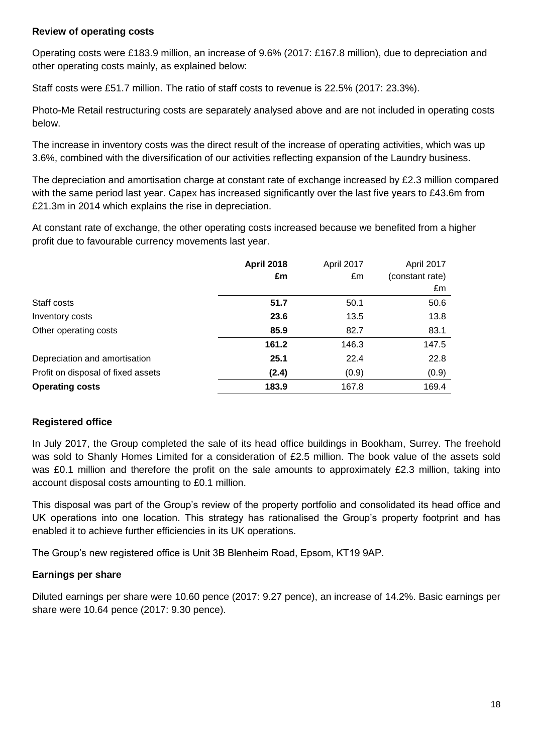#### **Review of operating costs**

Operating costs were £183.9 million, an increase of 9.6% (2017: £167.8 million), due to depreciation and other operating costs mainly, as explained below:

Staff costs were £51.7 million. The ratio of staff costs to revenue is 22.5% (2017: 23.3%).

Photo-Me Retail restructuring costs are separately analysed above and are not included in operating costs below.

The increase in inventory costs was the direct result of the increase of operating activities, which was up 3.6%, combined with the diversification of our activities reflecting expansion of the Laundry business.

The depreciation and amortisation charge at constant rate of exchange increased by £2.3 million compared with the same period last year. Capex has increased significantly over the last five years to £43.6m from £21.3m in 2014 which explains the rise in depreciation.

At constant rate of exchange, the other operating costs increased because we benefited from a higher profit due to favourable currency movements last year.

| <b>April 2018</b> | April 2017 | April 2017      |
|-------------------|------------|-----------------|
| £m                | £m         | (constant rate) |
|                   |            | £m              |
| 51.7              | 50.1       | 50.6            |
| 23.6              | 13.5       | 13.8            |
| 85.9              | 82.7       | 83.1            |
| 161.2             | 146.3      | 147.5           |
| 25.1              | 22.4       | 22.8            |
| (2.4)             | (0.9)      | (0.9)           |
| 183.9             | 167.8      | 169.4           |
|                   |            |                 |

### **Registered office**

In July 2017, the Group completed the sale of its head office buildings in Bookham, Surrey. The freehold was sold to Shanly Homes Limited for a consideration of £2.5 million. The book value of the assets sold was £0.1 million and therefore the profit on the sale amounts to approximately £2.3 million, taking into account disposal costs amounting to £0.1 million.

This disposal was part of the Group's review of the property portfolio and consolidated its head office and UK operations into one location. This strategy has rationalised the Group's property footprint and has enabled it to achieve further efficiencies in its UK operations.

The Group's new registered office is Unit 3B Blenheim Road, Epsom, KT19 9AP.

#### **Earnings per share**

Diluted earnings per share were 10.60 pence (2017: 9.27 pence), an increase of 14.2%. Basic earnings per share were 10.64 pence (2017: 9.30 pence).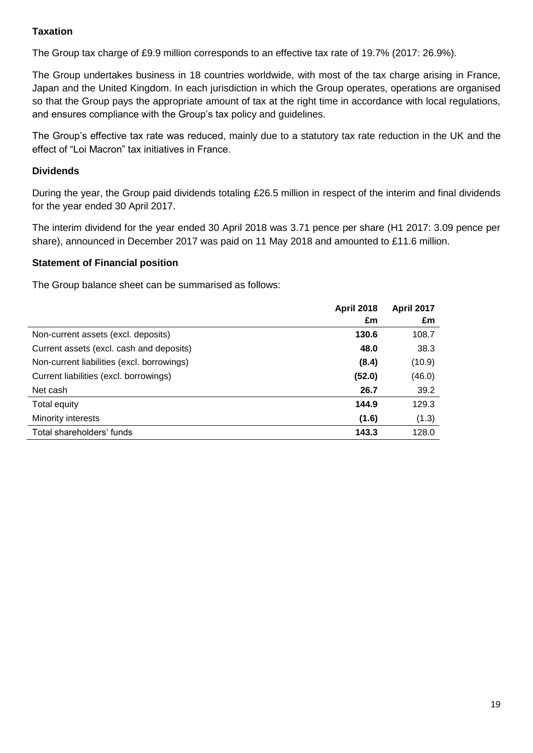# **Taxation**

The Group tax charge of £9.9 million corresponds to an effective tax rate of 19.7% (2017: 26.9%).

The Group undertakes business in 18 countries worldwide, with most of the tax charge arising in France, Japan and the United Kingdom. In each jurisdiction in which the Group operates, operations are organised so that the Group pays the appropriate amount of tax at the right time in accordance with local regulations, and ensures compliance with the Group's tax policy and guidelines.

The Group's effective tax rate was reduced, mainly due to a statutory tax rate reduction in the UK and the effect of "Loi Macron" tax initiatives in France.

### **Dividends**

During the year, the Group paid dividends totaling £26.5 million in respect of the interim and final dividends for the year ended 30 April 2017.

The interim dividend for the year ended 30 April 2018 was 3.71 pence per share (H1 2017: 3.09 pence per share), announced in December 2017 was paid on 11 May 2018 and amounted to £11.6 million.

### **Statement of Financial position**

The Group balance sheet can be summarised as follows:

|                                            | <b>April 2018</b> | <b>April 2017</b> |
|--------------------------------------------|-------------------|-------------------|
|                                            | £m                | £m                |
| Non-current assets (excl. deposits)        | 130.6             | 108.7             |
| Current assets (excl. cash and deposits)   | 48.0              | 38.3              |
| Non-current liabilities (excl. borrowings) | (8.4)             | (10.9)            |
| Current liabilities (excl. borrowings)     | (52.0)            | (46.0)            |
| Net cash                                   | 26.7              | 39.2              |
| Total equity                               | 144.9             | 129.3             |
| Minority interests                         | (1.6)             | (1.3)             |
| Total shareholders' funds                  | 143.3             | 128.0             |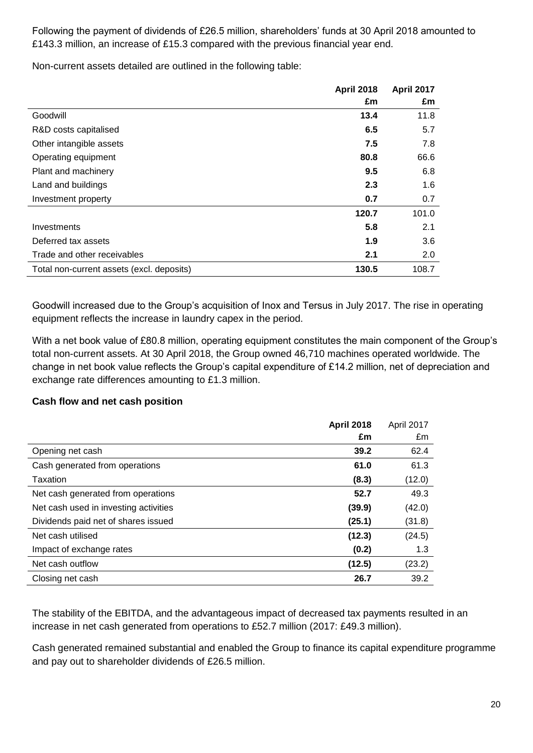Following the payment of dividends of £26.5 million, shareholders' funds at 30 April 2018 amounted to £143.3 million, an increase of £15.3 compared with the previous financial year end.

Non-current assets detailed are outlined in the following table:

|                                           | <b>April 2018</b> | April 2017 |
|-------------------------------------------|-------------------|------------|
|                                           | £m                | £m         |
| Goodwill                                  | 13.4              | 11.8       |
| R&D costs capitalised                     | 6.5               | 5.7        |
| Other intangible assets                   | 7.5               | 7.8        |
| Operating equipment                       | 80.8              | 66.6       |
| Plant and machinery                       | 9.5               | 6.8        |
| Land and buildings                        | 2.3               | 1.6        |
| Investment property                       | 0.7               | 0.7        |
|                                           | 120.7             | 101.0      |
| Investments                               | 5.8               | 2.1        |
| Deferred tax assets                       | 1.9               | 3.6        |
| Trade and other receivables               | 2.1               | 2.0        |
| Total non-current assets (excl. deposits) | 130.5             | 108.7      |

Goodwill increased due to the Group's acquisition of Inox and Tersus in July 2017. The rise in operating equipment reflects the increase in laundry capex in the period.

With a net book value of £80.8 million, operating equipment constitutes the main component of the Group's total non-current assets. At 30 April 2018, the Group owned 46,710 machines operated worldwide. The change in net book value reflects the Group's capital expenditure of £14.2 million, net of depreciation and exchange rate differences amounting to £1.3 million.

### **Cash flow and net cash position**

|                                       | <b>April 2018</b> | April 2017 |
|---------------------------------------|-------------------|------------|
|                                       | £m                | £m         |
| Opening net cash                      | 39.2              | 62.4       |
| Cash generated from operations        | 61.0              | 61.3       |
| Taxation                              | (8.3)             | (12.0)     |
| Net cash generated from operations    | 52.7              | 49.3       |
| Net cash used in investing activities | (39.9)            | (42.0)     |
| Dividends paid net of shares issued   | (25.1)            | (31.8)     |
| Net cash utilised                     | (12.3)            | (24.5)     |
| Impact of exchange rates              | (0.2)             | 1.3        |
| Net cash outflow                      | (12.5)            | (23.2)     |
| Closing net cash                      | 26.7              | 39.2       |

The stability of the EBITDA, and the advantageous impact of decreased tax payments resulted in an increase in net cash generated from operations to £52.7 million (2017: £49.3 million).

Cash generated remained substantial and enabled the Group to finance its capital expenditure programme and pay out to shareholder dividends of £26.5 million.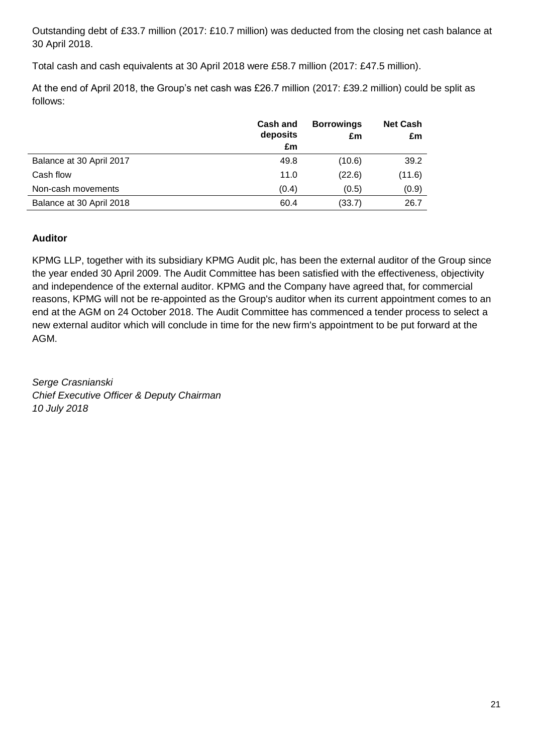Outstanding debt of £33.7 million (2017: £10.7 million) was deducted from the closing net cash balance at 30 April 2018.

Total cash and cash equivalents at 30 April 2018 were £58.7 million (2017: £47.5 million).

At the end of April 2018, the Group's net cash was £26.7 million (2017: £39.2 million) could be split as follows:

|                          | <b>Cash and</b><br>deposits<br>£m | <b>Borrowings</b><br>£m | <b>Net Cash</b><br>£m |
|--------------------------|-----------------------------------|-------------------------|-----------------------|
| Balance at 30 April 2017 | 49.8                              | (10.6)                  | 39.2                  |
| Cash flow                | 11.0                              | (22.6)                  | (11.6)                |
| Non-cash movements       | (0.4)                             | (0.5)                   | (0.9)                 |
| Balance at 30 April 2018 | 60.4                              | (33.7)                  | 26.7                  |

## **Auditor**

KPMG LLP, together with its subsidiary KPMG Audit plc, has been the external auditor of the Group since the year ended 30 April 2009. The Audit Committee has been satisfied with the effectiveness, objectivity and independence of the external auditor. KPMG and the Company have agreed that, for commercial reasons, KPMG will not be re-appointed as the Group's auditor when its current appointment comes to an end at the AGM on 24 October 2018. The Audit Committee has commenced a tender process to select a new external auditor which will conclude in time for the new firm's appointment to be put forward at the AGM.

*Serge Crasnianski Chief Executive Officer & Deputy Chairman 10 July 2018*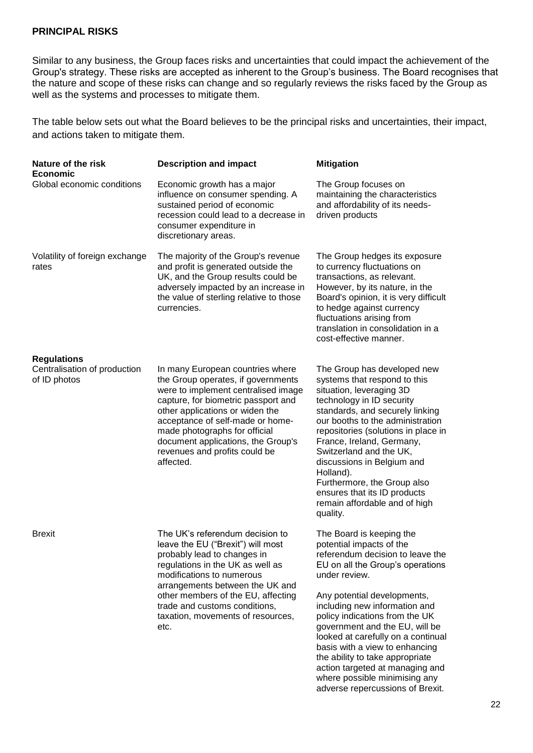#### **PRINCIPAL RISKS**

Similar to any business, the Group faces risks and uncertainties that could impact the achievement of the Group's strategy. These risks are accepted as inherent to the Group's business. The Board recognises that the nature and scope of these risks can change and so regularly reviews the risks faced by the Group as well as the systems and processes to mitigate them.

The table below sets out what the Board believes to be the principal risks and uncertainties, their impact, and actions taken to mitigate them.

| Nature of the risk<br><b>Economic</b>                              | <b>Description and impact</b>                                                                                                                                                                                                                                                                                                                    | <b>Mitigation</b>                                                                                                                                                                                                                                                                                                                                                                                                                                                                                    |
|--------------------------------------------------------------------|--------------------------------------------------------------------------------------------------------------------------------------------------------------------------------------------------------------------------------------------------------------------------------------------------------------------------------------------------|------------------------------------------------------------------------------------------------------------------------------------------------------------------------------------------------------------------------------------------------------------------------------------------------------------------------------------------------------------------------------------------------------------------------------------------------------------------------------------------------------|
| Global economic conditions                                         | Economic growth has a major<br>influence on consumer spending. A<br>sustained period of economic<br>recession could lead to a decrease in<br>consumer expenditure in<br>discretionary areas.                                                                                                                                                     | The Group focuses on<br>maintaining the characteristics<br>and affordability of its needs-<br>driven products                                                                                                                                                                                                                                                                                                                                                                                        |
| Volatility of foreign exchange<br>rates                            | The majority of the Group's revenue<br>and profit is generated outside the<br>UK, and the Group results could be<br>adversely impacted by an increase in<br>the value of sterling relative to those<br>currencies.                                                                                                                               | The Group hedges its exposure<br>to currency fluctuations on<br>transactions, as relevant.<br>However, by its nature, in the<br>Board's opinion, it is very difficult<br>to hedge against currency<br>fluctuations arising from<br>translation in consolidation in a<br>cost-effective manner.                                                                                                                                                                                                       |
| <b>Regulations</b><br>Centralisation of production<br>of ID photos | In many European countries where<br>the Group operates, if governments<br>were to implement centralised image<br>capture, for biometric passport and<br>other applications or widen the<br>acceptance of self-made or home-<br>made photographs for official<br>document applications, the Group's<br>revenues and profits could be<br>affected. | The Group has developed new<br>systems that respond to this<br>situation, leveraging 3D<br>technology in ID security<br>standards, and securely linking<br>our booths to the administration<br>repositories (solutions in place in<br>France, Ireland, Germany,<br>Switzerland and the UK,<br>discussions in Belgium and<br>Holland).<br>Furthermore, the Group also<br>ensures that its ID products<br>remain affordable and of high<br>quality.                                                    |
| <b>Brexit</b>                                                      | The UK's referendum decision to<br>leave the EU ("Brexit") will most<br>probably lead to changes in<br>regulations in the UK as well as<br>modifications to numerous<br>arrangements between the UK and<br>other members of the EU, affecting<br>trade and customs conditions,<br>taxation, movements of resources,<br>etc.                      | The Board is keeping the<br>potential impacts of the<br>referendum decision to leave the<br>EU on all the Group's operations<br>under review.<br>Any potential developments,<br>including new information and<br>policy indications from the UK<br>government and the EU, will be<br>looked at carefully on a continual<br>basis with a view to enhancing<br>the ability to take appropriate<br>action targeted at managing and<br>where possible minimising any<br>adverse repercussions of Brexit. |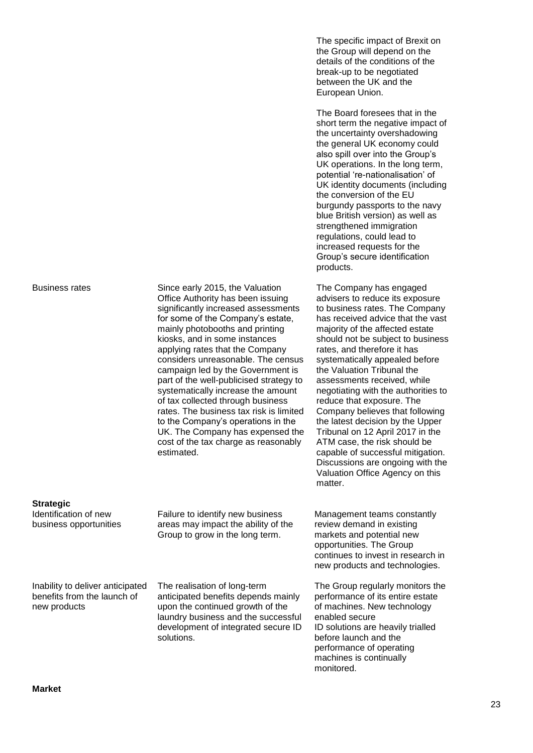Business rates Since early 2015, the Valuation Office Authority has been issuing significantly increased assessments for some of the Company's estate, mainly photobooths and printing kiosks, and in some instances applying rates that the Company considers unreasonable. The census campaign led by the Government is part of the well-publicised strategy to systematically increase the amount of tax collected through business rates. The business tax risk is limited to the Company's operations in the UK. The Company has expensed the cost of the tax charge as reasonably estimated.

**Strategic** 

Identification of new business opportunities Failure to identify new business areas may impact the ability of the Group to grow in the long term.

Inability to deliver anticipated benefits from the launch of new products

The realisation of long-term anticipated benefits depends mainly upon the continued growth of the laundry business and the successful development of integrated secure ID solutions.

The specific impact of Brexit on the Group will depend on the details of the conditions of the break-up to be negotiated between the UK and the European Union.

The Board foresees that in the short term the negative impact of the uncertainty overshadowing the general UK economy could also spill over into the Group's UK operations. In the long term, potential 're-nationalisation' of UK identity documents (including the conversion of the EU burgundy passports to the navy blue British version) as well as strengthened immigration regulations, could lead to increased requests for the Group's secure identification products.

The Company has engaged advisers to reduce its exposure to business rates. The Company has received advice that the vast majority of the affected estate should not be subject to business rates, and therefore it has systematically appealed before the Valuation Tribunal the assessments received, while negotiating with the authorities to reduce that exposure. The Company believes that following the latest decision by the Upper Tribunal on 12 April 2017 in the ATM case, the risk should be capable of successful mitigation. Discussions are ongoing with the Valuation Office Agency on this matter.

Management teams constantly review demand in existing markets and potential new opportunities. The Group continues to invest in research in new products and technologies.

The Group regularly monitors the performance of its entire estate of machines. New technology enabled secure ID solutions are heavily trialled before launch and the performance of operating machines is continually monitored.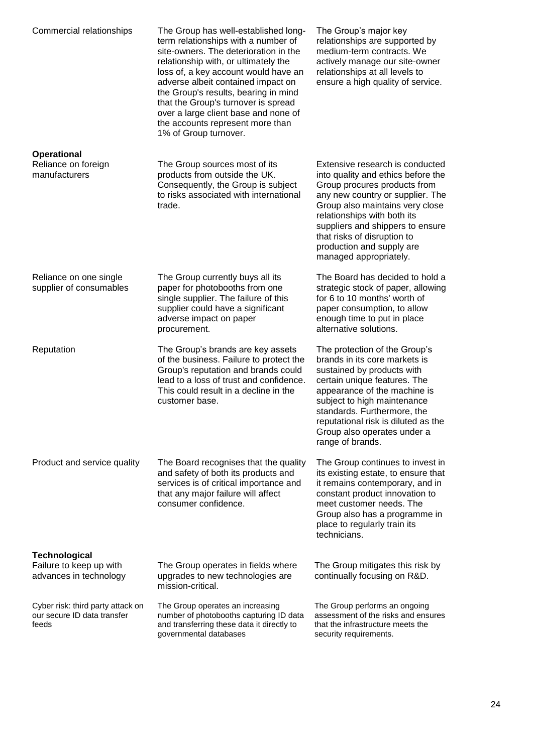| Commercial relationships                                                  | The Group has well-established long-<br>term relationships with a number of<br>site-owners. The deterioration in the<br>relationship with, or ultimately the<br>loss of, a key account would have an<br>adverse albeit contained impact on<br>the Group's results, bearing in mind<br>that the Group's turnover is spread<br>over a large client base and none of<br>the accounts represent more than<br>1% of Group turnover. | The Group's major key<br>relationships are supported by<br>medium-term contracts. We<br>actively manage our site-owner<br>relationships at all levels to<br>ensure a high quality of service.                                                                                                                                         |
|---------------------------------------------------------------------------|--------------------------------------------------------------------------------------------------------------------------------------------------------------------------------------------------------------------------------------------------------------------------------------------------------------------------------------------------------------------------------------------------------------------------------|---------------------------------------------------------------------------------------------------------------------------------------------------------------------------------------------------------------------------------------------------------------------------------------------------------------------------------------|
| <b>Operational</b><br>Reliance on foreign<br>manufacturers                | The Group sources most of its<br>products from outside the UK.<br>Consequently, the Group is subject<br>to risks associated with international<br>trade.                                                                                                                                                                                                                                                                       | Extensive research is conducted<br>into quality and ethics before the<br>Group procures products from<br>any new country or supplier. The<br>Group also maintains very close<br>relationships with both its<br>suppliers and shippers to ensure<br>that risks of disruption to<br>production and supply are<br>managed appropriately. |
| Reliance on one single<br>supplier of consumables                         | The Group currently buys all its<br>paper for photobooths from one<br>single supplier. The failure of this<br>supplier could have a significant<br>adverse impact on paper<br>procurement.                                                                                                                                                                                                                                     | The Board has decided to hold a<br>strategic stock of paper, allowing<br>for 6 to 10 months' worth of<br>paper consumption, to allow<br>enough time to put in place<br>alternative solutions.                                                                                                                                         |
| Reputation                                                                | The Group's brands are key assets<br>of the business. Failure to protect the<br>Group's reputation and brands could<br>lead to a loss of trust and confidence.<br>This could result in a decline in the<br>customer base.                                                                                                                                                                                                      | The protection of the Group's<br>brands in its core markets is<br>sustained by products with<br>certain unique features. The<br>appearance of the machine is<br>subject to high maintenance<br>standards. Furthermore, the<br>reputational risk is diluted as the<br>Group also operates under a<br>range of brands.                  |
| Product and service quality                                               | The Board recognises that the quality<br>and safety of both its products and<br>services is of critical importance and<br>that any major failure will affect<br>consumer confidence.                                                                                                                                                                                                                                           | The Group continues to invest in<br>its existing estate, to ensure that<br>it remains contemporary, and in<br>constant product innovation to<br>meet customer needs. The<br>Group also has a programme in<br>place to regularly train its<br>technicians.                                                                             |
| <b>Technological</b><br>Failure to keep up with<br>advances in technology | The Group operates in fields where<br>upgrades to new technologies are<br>mission-critical.                                                                                                                                                                                                                                                                                                                                    | The Group mitigates this risk by<br>continually focusing on R&D.                                                                                                                                                                                                                                                                      |
| Cyber risk: third party attack on<br>our secure ID data transfer<br>feeds | The Group operates an increasing<br>number of photobooths capturing ID data<br>and transferring these data it directly to<br>governmental databases                                                                                                                                                                                                                                                                            | The Group performs an ongoing<br>assessment of the risks and ensures<br>that the infrastructure meets the<br>security requirements.                                                                                                                                                                                                   |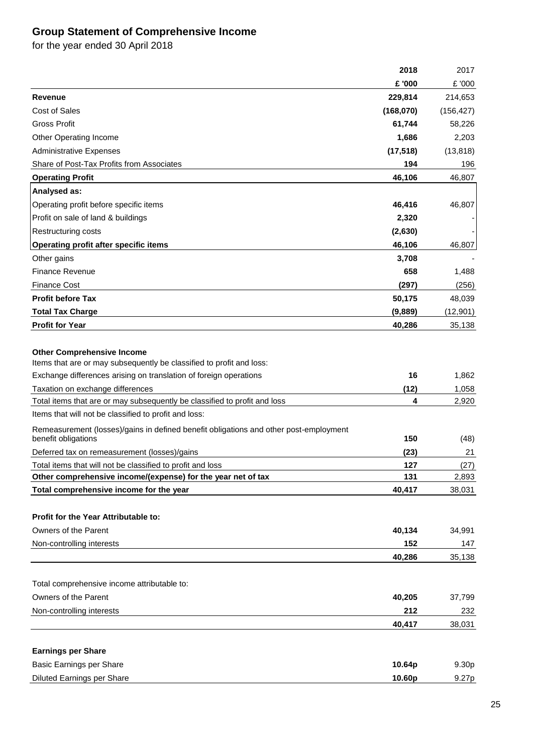# **Group Statement of Comprehensive Income**

for the year ended 30 April 2018

|                                                                                                              | 2018      | 2017       |
|--------------------------------------------------------------------------------------------------------------|-----------|------------|
|                                                                                                              | £ '000    | £ '000     |
| Revenue                                                                                                      | 229,814   | 214,653    |
| <b>Cost of Sales</b>                                                                                         | (168,070) | (156, 427) |
| Gross Profit                                                                                                 | 61,744    | 58,226     |
| Other Operating Income                                                                                       | 1,686     | 2,203      |
| <b>Administrative Expenses</b>                                                                               | (17, 518) | (13, 818)  |
| Share of Post-Tax Profits from Associates                                                                    | 194       | 196        |
| <b>Operating Profit</b>                                                                                      | 46,106    | 46,807     |
| Analysed as:                                                                                                 |           |            |
| Operating profit before specific items                                                                       | 46,416    | 46,807     |
| Profit on sale of land & buildings                                                                           | 2,320     |            |
| <b>Restructuring costs</b>                                                                                   | (2,630)   |            |
| Operating profit after specific items                                                                        | 46,106    | 46,807     |
| Other gains                                                                                                  | 3,708     |            |
| <b>Finance Revenue</b>                                                                                       | 658       | 1,488      |
| <b>Finance Cost</b>                                                                                          | (297)     | (256)      |
| <b>Profit before Tax</b>                                                                                     | 50,175    | 48,039     |
| <b>Total Tax Charge</b>                                                                                      | (9,889)   | (12, 901)  |
| <b>Profit for Year</b>                                                                                       | 40,286    | 35,138     |
|                                                                                                              |           |            |
| <b>Other Comprehensive Income</b>                                                                            |           |            |
| Items that are or may subsequently be classified to profit and loss:                                         |           |            |
| Exchange differences arising on translation of foreign operations                                            | 16        | 1,862      |
| Taxation on exchange differences                                                                             | (12)      | 1,058      |
| Total items that are or may subsequently be classified to profit and loss                                    | 4         | 2,920      |
| Items that will not be classified to profit and loss:                                                        |           |            |
| Remeasurement (losses)/gains in defined benefit obligations and other post-employment<br>benefit obligations | 150       | (48)       |
| Deferred tax on remeasurement (losses)/gains                                                                 | (23)      | 21         |
| Total items that will not be classified to profit and loss                                                   | 127       | (27)       |
| Other comprehensive income/(expense) for the year net of tax                                                 | 131       | 2,893      |
| Total comprehensive income for the year                                                                      | 40,417    | 38,031     |
|                                                                                                              |           |            |
| Profit for the Year Attributable to:                                                                         |           |            |
| Owners of the Parent                                                                                         | 40,134    | 34,991     |
| Non-controlling interests                                                                                    | 152       | 147        |
|                                                                                                              | 40,286    | 35,138     |
|                                                                                                              |           |            |
| Total comprehensive income attributable to:                                                                  |           |            |
| Owners of the Parent                                                                                         | 40,205    | 37,799     |
| Non-controlling interests                                                                                    | 212       | 232        |
|                                                                                                              | 40,417    | 38,031     |
|                                                                                                              |           |            |
| <b>Earnings per Share</b>                                                                                    |           |            |
| <b>Basic Earnings per Share</b>                                                                              | 10.64p    | 9.30p      |
| <b>Diluted Earnings per Share</b>                                                                            | 10.60p    | 9.27p      |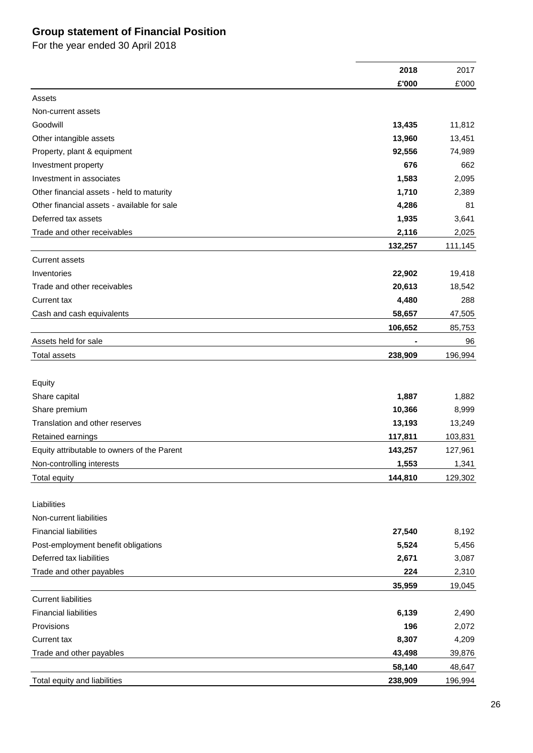# **Group statement of Financial Position**

For the year ended 30 April 2018

|                                             | 2018    | 2017    |
|---------------------------------------------|---------|---------|
|                                             | £'000   | £'000   |
| Assets                                      |         |         |
| Non-current assets                          |         |         |
| Goodwill                                    | 13,435  | 11,812  |
| Other intangible assets                     | 13,960  | 13,451  |
| Property, plant & equipment                 | 92,556  | 74,989  |
| Investment property                         | 676     | 662     |
| Investment in associates                    | 1,583   | 2,095   |
| Other financial assets - held to maturity   | 1,710   | 2,389   |
| Other financial assets - available for sale | 4,286   | 81      |
| Deferred tax assets                         | 1,935   | 3,641   |
| Trade and other receivables                 | 2,116   | 2,025   |
|                                             | 132,257 | 111,145 |
| <b>Current assets</b>                       |         |         |
| Inventories                                 | 22,902  | 19,418  |
| Trade and other receivables                 | 20,613  | 18,542  |
| Current tax                                 | 4,480   | 288     |
| Cash and cash equivalents                   | 58,657  | 47,505  |
|                                             | 106,652 | 85,753  |
| Assets held for sale                        |         | 96      |
| Total assets                                | 238,909 | 196,994 |
|                                             |         |         |
|                                             |         |         |
| Equity<br>Share capital                     | 1,887   | 1,882   |
| Share premium                               | 10,366  | 8,999   |
| Translation and other reserves              | 13,193  | 13,249  |
| Retained earnings                           | 117,811 | 103,831 |
| Equity attributable to owners of the Parent | 143,257 | 127,961 |
| Non-controlling interests                   |         | 1,341   |
|                                             | 1,553   |         |
| <b>Total equity</b>                         | 144,810 | 129,302 |
| Liabilities                                 |         |         |
| Non-current liabilities                     |         |         |
| <b>Financial liabilities</b>                | 27,540  | 8,192   |
| Post-employment benefit obligations         | 5,524   | 5,456   |
| Deferred tax liabilities                    | 2,671   | 3,087   |
| Trade and other payables                    | 224     | 2,310   |
|                                             | 35,959  | 19,045  |
| <b>Current liabilities</b>                  |         |         |
| <b>Financial liabilities</b>                | 6,139   | 2,490   |
| Provisions                                  | 196     | 2,072   |
| Current tax                                 | 8,307   | 4,209   |
| Trade and other payables                    | 43,498  | 39,876  |
|                                             | 58,140  |         |
|                                             |         | 48,647  |
| Total equity and liabilities                | 238,909 | 196,994 |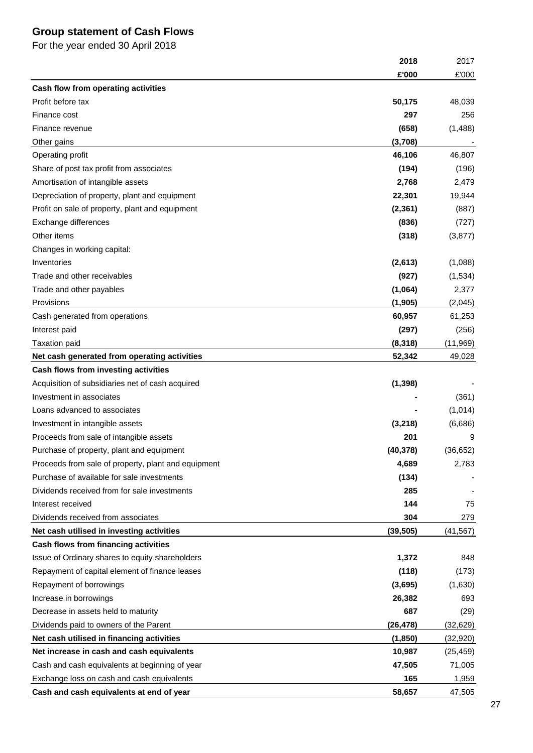# **Group statement of Cash Flows**

For the year ended 30 April 2018

|                                                     | 2018      | 2017      |
|-----------------------------------------------------|-----------|-----------|
|                                                     | £'000     | £'000     |
| Cash flow from operating activities                 |           |           |
| Profit before tax                                   | 50,175    | 48,039    |
| Finance cost                                        | 297       | 256       |
| Finance revenue                                     | (658)     | (1,488)   |
| Other gains                                         | (3,708)   |           |
| Operating profit                                    | 46,106    | 46,807    |
| Share of post tax profit from associates            | (194)     | (196)     |
| Amortisation of intangible assets                   | 2,768     | 2,479     |
| Depreciation of property, plant and equipment       | 22,301    | 19,944    |
| Profit on sale of property, plant and equipment     | (2, 361)  | (887)     |
| Exchange differences                                | (836)     | (727)     |
| Other items                                         | (318)     | (3, 877)  |
| Changes in working capital:                         |           |           |
| Inventories                                         | (2,613)   | (1,088)   |
| Trade and other receivables                         | (927)     | (1,534)   |
| Trade and other payables                            | (1,064)   | 2,377     |
| Provisions                                          | (1, 905)  | (2,045)   |
| Cash generated from operations                      | 60,957    | 61,253    |
| Interest paid                                       | (297)     | (256)     |
| <b>Taxation paid</b>                                | (8,318)   | (11, 969) |
| Net cash generated from operating activities        | 52,342    | 49,028    |
| Cash flows from investing activities                |           |           |
| Acquisition of subsidiaries net of cash acquired    | (1, 398)  |           |
| Investment in associates                            |           | (361)     |
| Loans advanced to associates                        |           | (1,014)   |
| Investment in intangible assets                     | (3,218)   | (6,686)   |
| Proceeds from sale of intangible assets             | 201       | 9         |
| Purchase of property, plant and equipment           | (40, 378) | (36, 652) |
| Proceeds from sale of property, plant and equipment | 4,689     | 2,783     |
| Purchase of available for sale investments          | (134)     |           |
| Dividends received from for sale investments        | 285       |           |
| Interest received                                   | 144       | 75        |
| Dividends received from associates                  | 304       | 279       |
| Net cash utilised in investing activities           | (39, 505) | (41, 567) |
| Cash flows from financing activities                |           |           |
| Issue of Ordinary shares to equity shareholders     | 1,372     | 848       |
| Repayment of capital element of finance leases      | (118)     | (173)     |
| Repayment of borrowings                             | (3,695)   | (1,630)   |
| Increase in borrowings                              | 26,382    | 693       |
| Decrease in assets held to maturity                 | 687       | (29)      |
| Dividends paid to owners of the Parent              | (26, 478) | (32, 629) |
| Net cash utilised in financing activities           | (1, 850)  | (32, 920) |
| Net increase in cash and cash equivalents           | 10,987    | (25, 459) |
| Cash and cash equivalents at beginning of year      | 47,505    | 71,005    |
| Exchange loss on cash and cash equivalents          | 165       | 1,959     |
| Cash and cash equivalents at end of year            | 58,657    | 47,505    |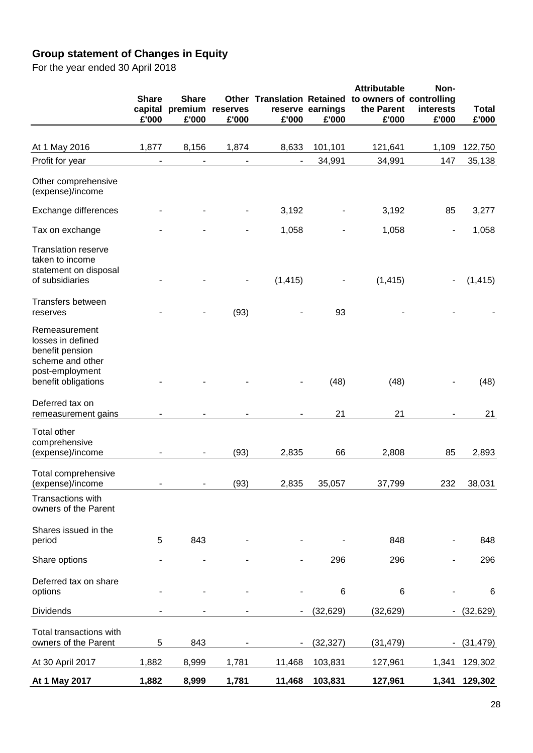# **Group statement of Changes in Equity**

For the year ended 30 April 2018

|                                                                                              | <b>Share</b><br>£'000 | <b>Share</b><br>capital premium<br>£'000 | Other<br>reserves<br>£'000 | £'000    | reserve earnings<br>£'000 | <b>Attributable</b><br><b>Translation Retained to owners of controlling</b><br>the Parent<br>£'000 | Non-<br>interests<br>£'000 | <b>Total</b><br>£'000 |
|----------------------------------------------------------------------------------------------|-----------------------|------------------------------------------|----------------------------|----------|---------------------------|----------------------------------------------------------------------------------------------------|----------------------------|-----------------------|
| At 1 May 2016                                                                                | 1,877                 | 8,156                                    | 1,874                      | 8,633    | 101,101                   | 121,641                                                                                            | 1,109                      | 122,750               |
| Profit for year                                                                              |                       |                                          |                            |          | 34,991                    | 34,991                                                                                             | 147                        | 35,138                |
| Other comprehensive<br>(expense)/income                                                      |                       |                                          |                            |          |                           |                                                                                                    |                            |                       |
| Exchange differences                                                                         |                       |                                          |                            | 3,192    |                           | 3,192                                                                                              | 85                         | 3,277                 |
| Tax on exchange                                                                              |                       |                                          |                            | 1,058    |                           | 1,058                                                                                              | $\overline{a}$             | 1,058                 |
| <b>Translation reserve</b><br>taken to income<br>statement on disposal<br>of subsidiaries    |                       |                                          |                            | (1, 415) |                           | (1, 415)                                                                                           |                            | (1, 415)              |
| Transfers between<br>reserves                                                                |                       |                                          | (93)                       |          | 93                        |                                                                                                    |                            |                       |
| Remeasurement<br>losses in defined<br>benefit pension<br>scheme and other<br>post-employment |                       |                                          |                            |          |                           |                                                                                                    |                            |                       |
| benefit obligations                                                                          |                       |                                          |                            |          | (48)                      | (48)                                                                                               |                            | (48)                  |
| Deferred tax on<br>remeasurement gains                                                       |                       |                                          |                            |          | 21                        | 21                                                                                                 |                            | 21                    |
| <b>Total other</b><br>comprehensive<br>(expense)/income                                      |                       |                                          | (93)                       | 2,835    | 66                        | 2,808                                                                                              | 85                         | 2,893                 |
| Total comprehensive<br>(expense)/income                                                      |                       |                                          | (93)                       | 2,835    | 35.057                    | 37,799                                                                                             | 232                        | 38,031                |
| Transactions with<br>owners of the Parent                                                    |                       |                                          |                            |          |                           |                                                                                                    |                            |                       |
| Shares issued in the<br>period                                                               | 5                     | 843                                      |                            |          |                           | 848                                                                                                |                            | 848                   |
| Share options                                                                                |                       |                                          |                            |          | 296                       | 296                                                                                                |                            | 296                   |
| Deferred tax on share<br>options                                                             |                       |                                          |                            |          | 6                         | $6\phantom{1}6$                                                                                    |                            | 6                     |
| <b>Dividends</b>                                                                             |                       |                                          |                            |          | (32, 629)                 | (32, 629)                                                                                          |                            | (32, 629)             |
| Total transactions with<br>owners of the Parent                                              | 5                     | 843                                      |                            |          | (32, 327)                 | (31, 479)                                                                                          |                            | (31, 479)             |
| At 30 April 2017                                                                             | 1,882                 | 8,999                                    | 1,781                      | 11,468   | 103,831                   | 127,961                                                                                            | 1,341                      | 129,302               |
| At 1 May 2017                                                                                | 1,882                 | 8,999                                    | 1,781                      | 11,468   | 103,831                   | 127,961                                                                                            | 1,341                      | 129,302               |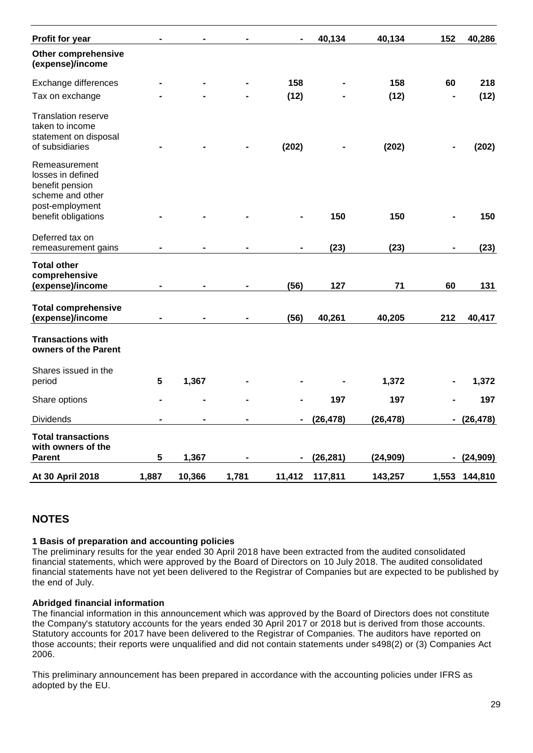| Profit for year                                                                              |       |        |       |                | 40,134    | 40,134    | 152            | 40,286        |
|----------------------------------------------------------------------------------------------|-------|--------|-------|----------------|-----------|-----------|----------------|---------------|
| Other comprehensive<br>(expense)/income                                                      |       |        |       |                |           |           |                |               |
| Exchange differences                                                                         |       |        |       | 158            |           | 158       | 60             | 218           |
| Tax on exchange                                                                              |       |        |       | (12)           |           | (12)      |                | (12)          |
| <b>Translation reserve</b><br>taken to income<br>statement on disposal<br>of subsidiaries    |       |        |       | (202)          |           | (202)     |                | (202)         |
| Remeasurement<br>losses in defined<br>benefit pension<br>scheme and other<br>post-employment |       |        |       |                |           |           |                |               |
| benefit obligations                                                                          |       |        |       |                | 150       | 150       |                | 150           |
| Deferred tax on<br>remeasurement gains                                                       |       |        |       |                | (23)      | (23)      |                | (23)          |
| <b>Total other</b><br>comprehensive<br>(expense)/income                                      |       |        |       | (56)           | 127       | 71        | 60             | 131           |
| <b>Total comprehensive</b><br>(expense)/income                                               |       |        |       | (56)           | 40,261    | 40,205    | 212            | 40,417        |
| <b>Transactions with</b><br>owners of the Parent                                             |       |        |       |                |           |           |                |               |
| Shares issued in the<br>period                                                               | 5     | 1,367  |       |                |           | 1,372     |                | 1,372         |
| Share options                                                                                |       |        |       |                | 197       | 197       |                | 197           |
| <b>Dividends</b>                                                                             |       |        |       | $\blacksquare$ | (26, 478) | (26, 478) | $\blacksquare$ | (26, 478)     |
| <b>Total transactions</b><br>with owners of the                                              |       |        |       |                |           |           |                |               |
| <b>Parent</b>                                                                                | 5     | 1,367  |       | $\blacksquare$ | (26, 281) | (24, 909) | $\blacksquare$ | (24, 909)     |
| At 30 April 2018                                                                             | 1,887 | 10,366 | 1,781 | 11,412         | 117,811   | 143,257   |                | 1,553 144,810 |

# **NOTES**

#### **1 Basis of preparation and accounting policies**

The preliminary results for the year ended 30 April 2018 have been extracted from the audited consolidated financial statements, which were approved by the Board of Directors on 10 July 2018. The audited consolidated financial statements have not yet been delivered to the Registrar of Companies but are expected to be published by the end of July.

#### **Abridged financial information**

The financial information in this announcement which was approved by the Board of Directors does not constitute the Company's statutory accounts for the years ended 30 April 2017 or 2018 but is derived from those accounts. Statutory accounts for 2017 have been delivered to the Registrar of Companies. The auditors have reported on those accounts; their reports were unqualified and did not contain statements under s498(2) or (3) Companies Act 2006.

This preliminary announcement has been prepared in accordance with the accounting policies under IFRS as adopted by the EU.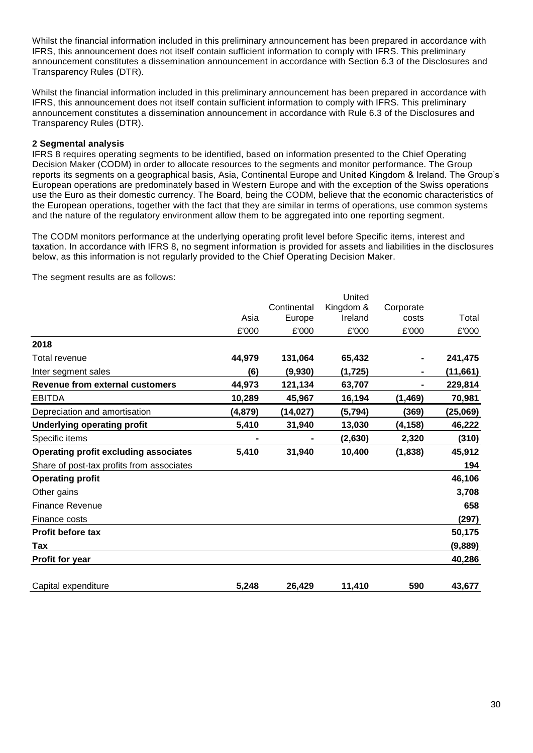Whilst the financial information included in this preliminary announcement has been prepared in accordance with IFRS, this announcement does not itself contain sufficient information to comply with IFRS. This preliminary announcement constitutes a dissemination announcement in accordance with Section 6.3 of the Disclosures and Transparency Rules (DTR).

Whilst the financial information included in this preliminary announcement has been prepared in accordance with IFRS, this announcement does not itself contain sufficient information to comply with IFRS. This preliminary announcement constitutes a dissemination announcement in accordance with Rule 6.3 of the Disclosures and Transparency Rules (DTR).

#### **2 Segmental analysis**

IFRS 8 requires operating segments to be identified, based on information presented to the Chief Operating Decision Maker (CODM) in order to allocate resources to the segments and monitor performance. The Group reports its segments on a geographical basis, Asia, Continental Europe and United Kingdom & Ireland. The Group's European operations are predominately based in Western Europe and with the exception of the Swiss operations use the Euro as their domestic currency. The Board, being the CODM, believe that the economic characteristics of the European operations, together with the fact that they are similar in terms of operations, use common systems and the nature of the regulatory environment allow them to be aggregated into one reporting segment.

The CODM monitors performance at the underlying operating profit level before Specific items, interest and taxation. In accordance with IFRS 8, no segment information is provided for assets and liabilities in the disclosures below, as this information is not regularly provided to the Chief Operating Decision Maker.

The segment results are as follows:

|                                              |          |             | United    |           |           |
|----------------------------------------------|----------|-------------|-----------|-----------|-----------|
|                                              |          | Continental | Kingdom & | Corporate |           |
|                                              | Asia     | Europe      | Ireland   | costs     | Total     |
|                                              | £'000    | £'000       | £'000     | £'000     | £'000     |
| 2018                                         |          |             |           |           |           |
| Total revenue                                | 44,979   | 131,064     | 65,432    |           | 241,475   |
| Inter segment sales                          | (6)      | (9,930)     | (1, 725)  |           | (11, 661) |
| <b>Revenue from external customers</b>       | 44,973   | 121,134     | 63,707    |           | 229,814   |
| <b>EBITDA</b>                                | 10,289   | 45,967      | 16,194    | (1, 469)  | 70,981    |
| Depreciation and amortisation                | (4, 879) | (14, 027)   | (5, 794)  | (369)     | (25,069)  |
| <b>Underlying operating profit</b>           | 5,410    | 31,940      | 13,030    | (4,158)   | 46,222    |
| Specific items                               |          |             | (2,630)   | 2,320     | (310)     |
| <b>Operating profit excluding associates</b> | 5,410    | 31,940      | 10,400    | (1,838)   | 45,912    |
| Share of post-tax profits from associates    |          |             |           |           | 194       |
| <b>Operating profit</b>                      |          |             |           |           | 46,106    |
| Other gains                                  |          |             |           |           | 3,708     |
| <b>Finance Revenue</b>                       |          |             |           |           | 658       |
| Finance costs                                |          |             |           |           | (297)     |
| <b>Profit before tax</b>                     |          |             |           |           | 50,175    |
| Tax                                          |          |             |           |           | (9,889)   |
| <b>Profit for year</b>                       |          |             |           |           | 40,286    |
| Capital expenditure                          | 5,248    | 26,429      | 11,410    | 590       | 43,677    |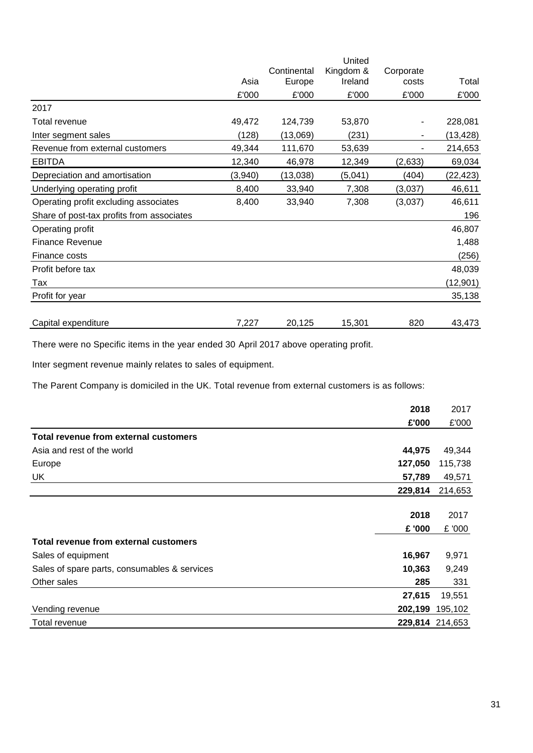|                                           |         |             | United    |           |           |
|-------------------------------------------|---------|-------------|-----------|-----------|-----------|
|                                           |         | Continental | Kingdom & | Corporate |           |
|                                           | Asia    | Europe      | Ireland   | costs     | Total     |
|                                           | £'000   | £'000       | £'000     | £'000     | £'000     |
| 2017                                      |         |             |           |           |           |
| Total revenue                             | 49,472  | 124,739     | 53,870    |           | 228,081   |
| Inter segment sales                       | (128)   | (13,069)    | (231)     |           | (13, 428) |
| Revenue from external customers           | 49,344  | 111,670     | 53,639    |           | 214,653   |
| <b>EBITDA</b>                             | 12,340  | 46,978      | 12,349    | (2,633)   | 69,034    |
| Depreciation and amortisation             | (3,940) | (13,038)    | (5,041)   | (404)     | (22, 423) |
| Underlying operating profit               | 8,400   | 33,940      | 7,308     | (3,037)   | 46,611    |
| Operating profit excluding associates     | 8,400   | 33,940      | 7,308     | (3,037)   | 46,611    |
| Share of post-tax profits from associates |         |             |           |           | 196       |
| Operating profit                          |         |             |           |           | 46,807    |
| <b>Finance Revenue</b>                    |         |             |           |           | 1,488     |
| Finance costs                             |         |             |           |           | (256)     |
| Profit before tax                         |         |             |           |           | 48,039    |
| Tax                                       |         |             |           |           | (12, 901) |
| Profit for year                           |         |             |           |           | 35,138    |
|                                           |         |             |           |           |           |
| Capital expenditure                       | 7,227   | 20,125      | 15,301    | 820       | 43,473    |

There were no Specific items in the year ended 30 April 2017 above operating profit.

Inter segment revenue mainly relates to sales of equipment.

The Parent Company is domiciled in the UK. Total revenue from external customers is as follows:

|                                              | 2018    | 2017            |
|----------------------------------------------|---------|-----------------|
|                                              | £'000   | £'000           |
| Total revenue from external customers        |         |                 |
| Asia and rest of the world                   | 44,975  | 49,344          |
| Europe                                       | 127,050 | 115,738         |
| <b>UK</b>                                    | 57,789  | 49,571          |
|                                              | 229,814 | 214,653         |
|                                              |         |                 |
|                                              | 2018    | 2017            |
|                                              | £ '000  | £ '000          |
| Total revenue from external customers        |         |                 |
| Sales of equipment                           | 16,967  | 9,971           |
| Sales of spare parts, consumables & services | 10,363  | 9,249           |
| Other sales                                  | 285     | 331             |
|                                              | 27,615  | 19,551          |
| Vending revenue                              | 202,199 | 195,102         |
| Total revenue                                |         | 229,814 214,653 |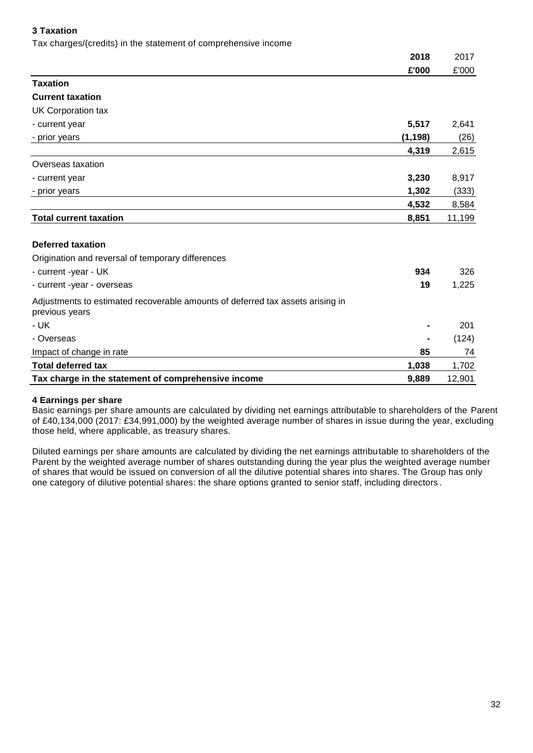#### **3 Taxation**

Tax charges/(credits) in the statement of comprehensive income

|                                                                                                  | 2018           | 2017   |
|--------------------------------------------------------------------------------------------------|----------------|--------|
|                                                                                                  | £'000          | £'000  |
| <b>Taxation</b>                                                                                  |                |        |
| <b>Current taxation</b>                                                                          |                |        |
| UK Corporation tax                                                                               |                |        |
| - current year                                                                                   | 5,517          | 2,641  |
| - prior years                                                                                    | (1, 198)       | (26)   |
|                                                                                                  | 4,319          | 2,615  |
| Overseas taxation                                                                                |                |        |
| - current year                                                                                   | 3,230          | 8,917  |
| - prior years                                                                                    | 1,302          | (333)  |
|                                                                                                  | 4,532          | 8,584  |
| <b>Total current taxation</b>                                                                    | 8,851          | 11,199 |
|                                                                                                  |                |        |
| <b>Deferred taxation</b>                                                                         |                |        |
| Origination and reversal of temporary differences                                                |                |        |
| - current -year - UK                                                                             | 934            | 326    |
| - current -year - overseas                                                                       | 19             | 1,225  |
| Adjustments to estimated recoverable amounts of deferred tax assets arising in<br>previous years |                |        |
| - UK                                                                                             | $\blacksquare$ | 201    |
| - Overseas                                                                                       |                | (124)  |
| Impact of change in rate                                                                         | 85             | 74     |
| <b>Total deferred tax</b>                                                                        | 1,038          | 1,702  |
| Tax charge in the statement of comprehensive income                                              | 9,889          | 12,901 |

#### **4 Earnings per share**

Basic earnings per share amounts are calculated by dividing net earnings attributable to shareholders of the Parent of £40,134,000 (2017: £34,991,000) by the weighted average number of shares in issue during the year, excluding those held, where applicable, as treasury shares.

Diluted earnings per share amounts are calculated by dividing the net earnings attributable to shareholders of the Parent by the weighted average number of shares outstanding during the year plus the weighted average number of shares that would be issued on conversion of all the dilutive potential shares into shares. The Group has only one category of dilutive potential shares: the share options granted to senior staff, including directors .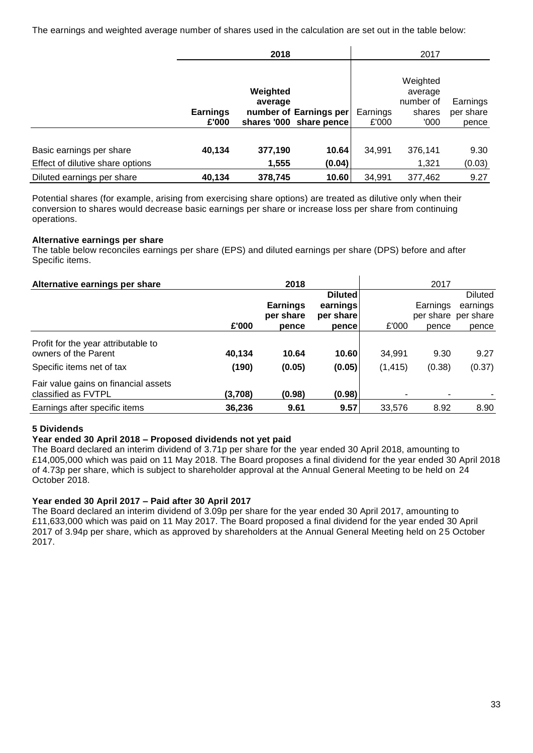The earnings and weighted average number of shares used in the calculation are set out in the table below:

|                                                              | 2018                     |                     |                                                   |                   | 2017                                               |                                |
|--------------------------------------------------------------|--------------------------|---------------------|---------------------------------------------------|-------------------|----------------------------------------------------|--------------------------------|
|                                                              | <b>Earnings</b><br>£'000 | Weighted<br>average | number of Earnings per<br>shares '000 share pence | Earnings<br>£'000 | Weighted<br>average<br>number of<br>shares<br>'000 | Earnings<br>per share<br>pence |
| Basic earnings per share<br>Effect of dilutive share options | 40,134                   | 377,190<br>1,555    | 10.64<br>(0.04)                                   | 34,991            | 376,141<br>1,321                                   | 9.30<br>(0.03)                 |
| Diluted earnings per share                                   | 40,134                   | 378,745             | 10.60                                             | 34,991            | 377,462                                            | 9.27                           |

Potential shares (for example, arising from exercising share options) are treated as dilutive only when their conversion to shares would decrease basic earnings per share or increase loss per share from continuing operations.

#### **Alternative earnings per share**

The table below reconciles earnings per share (EPS) and diluted earnings per share (DPS) before and after Specific items.

| Alternative earnings per share                              |         | 2018                         |                       |                | 2017     |                                 |
|-------------------------------------------------------------|---------|------------------------------|-----------------------|----------------|----------|---------------------------------|
|                                                             |         |                              | <b>Diluted</b>        |                |          | <b>Diluted</b>                  |
|                                                             |         | <b>Earnings</b><br>per share | earnings<br>per share |                | Earnings | earnings<br>per share per share |
|                                                             | £'000   | pence                        | pence                 | £'000          | pence    | pence                           |
| Profit for the year attributable to                         |         |                              |                       |                |          |                                 |
| owners of the Parent                                        | 40,134  | 10.64                        | 10.60                 | 34,991         | 9.30     | 9.27                            |
| Specific items net of tax                                   | (190)   | (0.05)                       | (0.05)                | (1, 415)       | (0.38)   | (0.37)                          |
| Fair value gains on financial assets<br>classified as FVTPL | (3,708) | (0.98)                       | (0.98)                | $\blacksquare$ | ۰        |                                 |
| Earnings after specific items                               | 36,236  | 9.61                         | 9.57                  | 33.576         | 8.92     | 8.90                            |

#### **5 Dividends**

#### **Year ended 30 April 2018 – Proposed dividends not yet paid**

The Board declared an interim dividend of 3.71p per share for the year ended 30 April 2018, amounting to £14,005,000 which was paid on 11 May 2018. The Board proposes a final dividend for the year ended 30 April 2018 of 4.73p per share, which is subject to shareholder approval at the Annual General Meeting to be held on 24 October 2018.

#### **Year ended 30 April 2017 – Paid after 30 April 2017**

The Board declared an interim dividend of 3.09p per share for the year ended 30 April 2017, amounting to £11,633,000 which was paid on 11 May 2017. The Board proposed a final dividend for the year ended 30 April 2017 of 3.94p per share, which as approved by shareholders at the Annual General Meeting held on 25 October 2017.